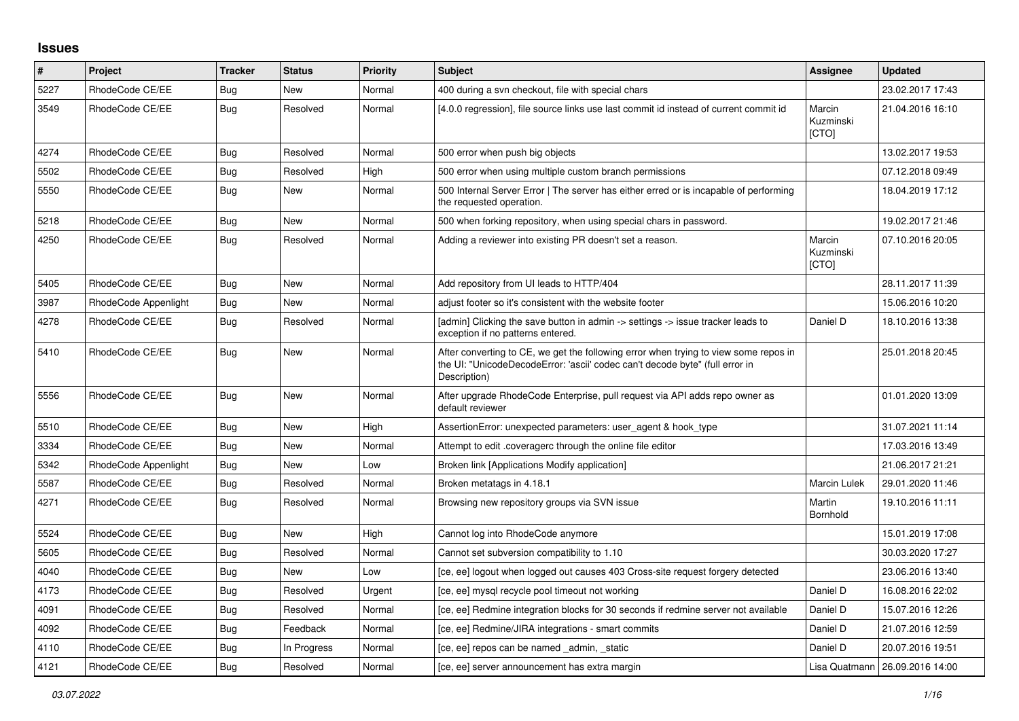## **Issues**

| $\vert$ # | Project              | <b>Tracker</b> | <b>Status</b> | <b>Priority</b> | <b>Subject</b>                                                                                                                                                                       | <b>Assignee</b>              | <b>Updated</b>                   |
|-----------|----------------------|----------------|---------------|-----------------|--------------------------------------------------------------------------------------------------------------------------------------------------------------------------------------|------------------------------|----------------------------------|
| 5227      | RhodeCode CE/EE      | Bug            | <b>New</b>    | Normal          | 400 during a svn checkout, file with special chars                                                                                                                                   |                              | 23.02.2017 17:43                 |
| 3549      | RhodeCode CE/EE      | Bug            | Resolved      | Normal          | [4.0.0 regression], file source links use last commit id instead of current commit id                                                                                                | Marcin<br>Kuzminski<br>[CTO] | 21.04.2016 16:10                 |
| 4274      | RhodeCode CE/EE      | Bug            | Resolved      | Normal          | 500 error when push big objects                                                                                                                                                      |                              | 13.02.2017 19:53                 |
| 5502      | RhodeCode CE/EE      | Bug            | Resolved      | High            | 500 error when using multiple custom branch permissions                                                                                                                              |                              | 07.12.2018 09:49                 |
| 5550      | RhodeCode CE/EE      | <b>Bug</b>     | New           | Normal          | 500 Internal Server Error   The server has either erred or is incapable of performing<br>the requested operation.                                                                    |                              | 18.04.2019 17:12                 |
| 5218      | RhodeCode CE/EE      | <b>Bug</b>     | <b>New</b>    | Normal          | 500 when forking repository, when using special chars in password.                                                                                                                   |                              | 19.02.2017 21:46                 |
| 4250      | RhodeCode CE/EE      | <b>Bug</b>     | Resolved      | Normal          | Adding a reviewer into existing PR doesn't set a reason.                                                                                                                             | Marcin<br>Kuzminski<br>[CTO] | 07.10.2016 20:05                 |
| 5405      | RhodeCode CE/EE      | Bug            | <b>New</b>    | Normal          | Add repository from UI leads to HTTP/404                                                                                                                                             |                              | 28.11.2017 11:39                 |
| 3987      | RhodeCode Appenlight | Bug            | <b>New</b>    | Normal          | adjust footer so it's consistent with the website footer                                                                                                                             |                              | 15.06.2016 10:20                 |
| 4278      | RhodeCode CE/EE      | <b>Bug</b>     | Resolved      | Normal          | [admin] Clicking the save button in admin -> settings -> issue tracker leads to<br>exception if no patterns entered.                                                                 | Daniel D                     | 18.10.2016 13:38                 |
| 5410      | RhodeCode CE/EE      | Bug            | <b>New</b>    | Normal          | After converting to CE, we get the following error when trying to view some repos in<br>the UI: "UnicodeDecodeError: 'ascii' codec can't decode byte" (full error in<br>Description) |                              | 25.01.2018 20:45                 |
| 5556      | RhodeCode CE/EE      | Bug            | <b>New</b>    | Normal          | After upgrade RhodeCode Enterprise, pull request via API adds repo owner as<br>default reviewer                                                                                      |                              | 01.01.2020 13:09                 |
| 5510      | RhodeCode CE/EE      | <b>Bug</b>     | <b>New</b>    | High            | AssertionError: unexpected parameters: user_agent & hook_type                                                                                                                        |                              | 31.07.2021 11:14                 |
| 3334      | RhodeCode CE/EE      | Bug            | <b>New</b>    | Normal          | Attempt to edit .coveragerc through the online file editor                                                                                                                           |                              | 17.03.2016 13:49                 |
| 5342      | RhodeCode Appenlight | <b>Bug</b>     | <b>New</b>    | Low             | Broken link [Applications Modify application]                                                                                                                                        |                              | 21.06.2017 21:21                 |
| 5587      | RhodeCode CE/EE      | Bug            | Resolved      | Normal          | Broken metatags in 4.18.1                                                                                                                                                            | <b>Marcin Lulek</b>          | 29.01.2020 11:46                 |
| 4271      | RhodeCode CE/EE      | <b>Bug</b>     | Resolved      | Normal          | Browsing new repository groups via SVN issue                                                                                                                                         | Martin<br>Bornhold           | 19.10.2016 11:11                 |
| 5524      | RhodeCode CE/EE      | Bug            | <b>New</b>    | High            | Cannot log into RhodeCode anymore                                                                                                                                                    |                              | 15.01.2019 17:08                 |
| 5605      | RhodeCode CE/EE      | Bug            | Resolved      | Normal          | Cannot set subversion compatibility to 1.10                                                                                                                                          |                              | 30.03.2020 17:27                 |
| 4040      | RhodeCode CE/EE      | Bug            | <b>New</b>    | Low             | [ce, ee] logout when logged out causes 403 Cross-site request forgery detected                                                                                                       |                              | 23.06.2016 13:40                 |
| 4173      | RhodeCode CE/EE      | Bug            | Resolved      | Urgent          | [ce, ee] mysql recycle pool timeout not working                                                                                                                                      | Daniel D                     | 16.08.2016 22:02                 |
| 4091      | RhodeCode CE/EE      | Bug            | Resolved      | Normal          | [ce, ee] Redmine integration blocks for 30 seconds if redmine server not available                                                                                                   | Daniel D                     | 15.07.2016 12:26                 |
| 4092      | RhodeCode CE/EE      | <b>Bug</b>     | Feedback      | Normal          | [ce, ee] Redmine/JIRA integrations - smart commits                                                                                                                                   | Daniel D                     | 21.07.2016 12:59                 |
| 4110      | RhodeCode CE/EE      | <b>Bug</b>     | In Progress   | Normal          | [ce, ee] repos can be named admin, static                                                                                                                                            | Daniel D                     | 20.07.2016 19:51                 |
| 4121      | RhodeCode CE/EE      | Bug            | Resolved      | Normal          | [ce, ee] server announcement has extra margin                                                                                                                                        |                              | Lisa Quatmann   26.09.2016 14:00 |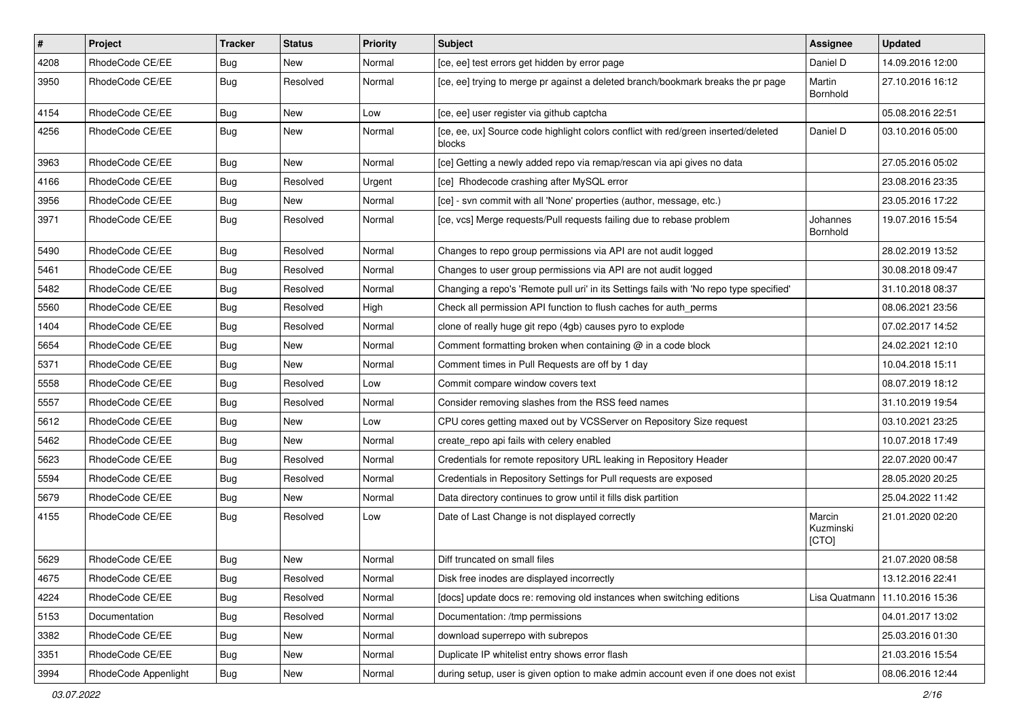| $\vert$ # | Project              | <b>Tracker</b> | <b>Status</b> | Priority | <b>Subject</b>                                                                               | <b>Assignee</b>              | <b>Updated</b>   |
|-----------|----------------------|----------------|---------------|----------|----------------------------------------------------------------------------------------------|------------------------------|------------------|
| 4208      | RhodeCode CE/EE      | <b>Bug</b>     | New           | Normal   | [ce, ee] test errors get hidden by error page                                                | Daniel D                     | 14.09.2016 12:00 |
| 3950      | RhodeCode CE/EE      | Bug            | Resolved      | Normal   | [ce, ee] trying to merge pr against a deleted branch/bookmark breaks the pr page             | Martin<br>Bornhold           | 27.10.2016 16:12 |
| 4154      | RhodeCode CE/EE      | Bug            | <b>New</b>    | Low      | [ce, ee] user register via github captcha                                                    |                              | 05.08.2016 22:51 |
| 4256      | RhodeCode CE/EE      | Bug            | New           | Normal   | [ce, ee, ux] Source code highlight colors conflict with red/green inserted/deleted<br>blocks | Daniel D                     | 03.10.2016 05:00 |
| 3963      | RhodeCode CE/EE      | Bug            | <b>New</b>    | Normal   | [ce] Getting a newly added repo via remap/rescan via api gives no data                       |                              | 27.05.2016 05:02 |
| 4166      | RhodeCode CE/EE      | <b>Bug</b>     | Resolved      | Urgent   | [ce] Rhodecode crashing after MySQL error                                                    |                              | 23.08.2016 23:35 |
| 3956      | RhodeCode CE/EE      | Bug            | New           | Normal   | [ce] - svn commit with all 'None' properties (author, message, etc.)                         |                              | 23.05.2016 17:22 |
| 3971      | RhodeCode CE/EE      | Bug            | Resolved      | Normal   | [ce, vcs] Merge requests/Pull requests failing due to rebase problem                         | Johannes<br>Bornhold         | 19.07.2016 15:54 |
| 5490      | RhodeCode CE/EE      | Bug            | Resolved      | Normal   | Changes to repo group permissions via API are not audit logged                               |                              | 28.02.2019 13:52 |
| 5461      | RhodeCode CE/EE      | Bug            | Resolved      | Normal   | Changes to user group permissions via API are not audit logged                               |                              | 30.08.2018 09:47 |
| 5482      | RhodeCode CE/EE      | Bug            | Resolved      | Normal   | Changing a repo's 'Remote pull uri' in its Settings fails with 'No repo type specified'      |                              | 31.10.2018 08:37 |
| 5560      | RhodeCode CE/EE      | Bug            | Resolved      | High     | Check all permission API function to flush caches for auth_perms                             |                              | 08.06.2021 23:56 |
| 1404      | RhodeCode CE/EE      | Bug            | Resolved      | Normal   | clone of really huge git repo (4gb) causes pyro to explode                                   |                              | 07.02.2017 14:52 |
| 5654      | RhodeCode CE/EE      | Bug            | New           | Normal   | Comment formatting broken when containing $\omega$ in a code block                           |                              | 24.02.2021 12:10 |
| 5371      | RhodeCode CE/EE      | Bug            | <b>New</b>    | Normal   | Comment times in Pull Requests are off by 1 day                                              |                              | 10.04.2018 15:11 |
| 5558      | RhodeCode CE/EE      | Bug            | Resolved      | Low      | Commit compare window covers text                                                            |                              | 08.07.2019 18:12 |
| 5557      | RhodeCode CE/EE      | Bug            | Resolved      | Normal   | Consider removing slashes from the RSS feed names                                            |                              | 31.10.2019 19:54 |
| 5612      | RhodeCode CE/EE      | <b>Bug</b>     | <b>New</b>    | Low      | CPU cores getting maxed out by VCSServer on Repository Size request                          |                              | 03.10.2021 23:25 |
| 5462      | RhodeCode CE/EE      | <b>Bug</b>     | New           | Normal   | create_repo api fails with celery enabled                                                    |                              | 10.07.2018 17:49 |
| 5623      | RhodeCode CE/EE      | Bug            | Resolved      | Normal   | Credentials for remote repository URL leaking in Repository Header                           |                              | 22.07.2020 00:47 |
| 5594      | RhodeCode CE/EE      | Bug            | Resolved      | Normal   | Credentials in Repository Settings for Pull requests are exposed                             |                              | 28.05.2020 20:25 |
| 5679      | RhodeCode CE/EE      | Bug            | <b>New</b>    | Normal   | Data directory continues to grow until it fills disk partition                               |                              | 25.04.2022 11:42 |
| 4155      | RhodeCode CE/EE      | Bug            | Resolved      | Low      | Date of Last Change is not displayed correctly                                               | Marcin<br>Kuzminski<br>[CTO] | 21.01.2020 02:20 |
| 5629      | RhodeCode CE/EE      | Bug            | <b>New</b>    | Normal   | Diff truncated on small files                                                                |                              | 21.07.2020 08:58 |
| 4675      | RhodeCode CE/EE      | Bug            | Resolved      | Normal   | Disk free inodes are displayed incorrectly                                                   |                              | 13.12.2016 22:41 |
| 4224      | RhodeCode CE/EE      | Bug            | Resolved      | Normal   | [docs] update docs re: removing old instances when switching editions                        | Lisa Quatmann                | 11.10.2016 15:36 |
| 5153      | Documentation        | Bug            | Resolved      | Normal   | Documentation: /tmp permissions                                                              |                              | 04.01.2017 13:02 |
| 3382      | RhodeCode CE/EE      | Bug            | New           | Normal   | download superrepo with subrepos                                                             |                              | 25.03.2016 01:30 |
| 3351      | RhodeCode CE/EE      | <b>Bug</b>     | New           | Normal   | Duplicate IP whitelist entry shows error flash                                               |                              | 21.03.2016 15:54 |
| 3994      | RhodeCode Appenlight | Bug            | New           | Normal   | during setup, user is given option to make admin account even if one does not exist          |                              | 08.06.2016 12:44 |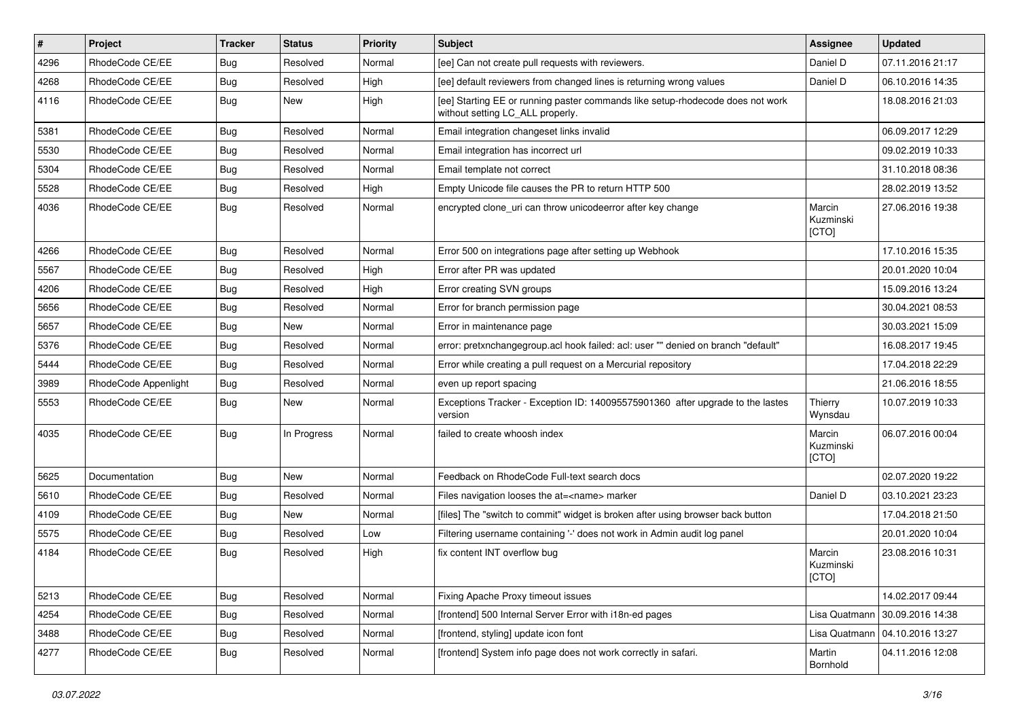| #    | Project              | <b>Tracker</b> | <b>Status</b> | <b>Priority</b> | <b>Subject</b>                                                                                                     | <b>Assignee</b>              | <b>Updated</b>                   |
|------|----------------------|----------------|---------------|-----------------|--------------------------------------------------------------------------------------------------------------------|------------------------------|----------------------------------|
| 4296 | RhodeCode CE/EE      | Bug            | Resolved      | Normal          | [ee] Can not create pull requests with reviewers.                                                                  | Daniel D                     | 07.11.2016 21:17                 |
| 4268 | RhodeCode CE/EE      | Bug            | Resolved      | High            | [ee] default reviewers from changed lines is returning wrong values                                                | Daniel D                     | 06.10.2016 14:35                 |
| 4116 | RhodeCode CE/EE      | Bug            | New           | High            | [ee] Starting EE or running paster commands like setup-rhodecode does not work<br>without setting LC_ALL properly. |                              | 18.08.2016 21:03                 |
| 5381 | RhodeCode CE/EE      | Bug            | Resolved      | Normal          | Email integration changeset links invalid                                                                          |                              | 06.09.2017 12:29                 |
| 5530 | RhodeCode CE/EE      | Bug            | Resolved      | Normal          | Email integration has incorrect url                                                                                |                              | 09.02.2019 10:33                 |
| 5304 | RhodeCode CE/EE      | Bug            | Resolved      | Normal          | Email template not correct                                                                                         |                              | 31.10.2018 08:36                 |
| 5528 | RhodeCode CE/EE      | Bug            | Resolved      | High            | Empty Unicode file causes the PR to return HTTP 500                                                                |                              | 28.02.2019 13:52                 |
| 4036 | RhodeCode CE/EE      | Bug            | Resolved      | Normal          | encrypted clone uri can throw unicodeerror after key change                                                        | Marcin<br>Kuzminski<br>[CTO] | 27.06.2016 19:38                 |
| 4266 | RhodeCode CE/EE      | Bug            | Resolved      | Normal          | Error 500 on integrations page after setting up Webhook                                                            |                              | 17.10.2016 15:35                 |
| 5567 | RhodeCode CE/EE      | Bug            | Resolved      | High            | Error after PR was updated                                                                                         |                              | 20.01.2020 10:04                 |
| 4206 | RhodeCode CE/EE      | Bug            | Resolved      | High            | Error creating SVN groups                                                                                          |                              | 15.09.2016 13:24                 |
| 5656 | RhodeCode CE/EE      | Bug            | Resolved      | Normal          | Error for branch permission page                                                                                   |                              | 30.04.2021 08:53                 |
| 5657 | RhodeCode CE/EE      | Bug            | <b>New</b>    | Normal          | Error in maintenance page                                                                                          |                              | 30.03.2021 15:09                 |
| 5376 | RhodeCode CE/EE      | Bug            | Resolved      | Normal          | error: pretxnchangegroup.acl hook failed: acl: user "" denied on branch "default"                                  |                              | 16.08.2017 19:45                 |
| 5444 | RhodeCode CE/EE      | Bug            | Resolved      | Normal          | Error while creating a pull request on a Mercurial repository                                                      |                              | 17.04.2018 22:29                 |
| 3989 | RhodeCode Appenlight | Bug            | Resolved      | Normal          | even up report spacing                                                                                             |                              | 21.06.2016 18:55                 |
| 5553 | RhodeCode CE/EE      | Bug            | <b>New</b>    | Normal          | Exceptions Tracker - Exception ID: 140095575901360 after upgrade to the lastes<br>version                          | Thierry<br>Wynsdau           | 10.07.2019 10:33                 |
| 4035 | RhodeCode CE/EE      | Bug            | In Progress   | Normal          | failed to create whoosh index                                                                                      | Marcin<br>Kuzminski<br>[CTO] | 06.07.2016 00:04                 |
| 5625 | Documentation        | Bug            | <b>New</b>    | Normal          | Feedback on RhodeCode Full-text search docs                                                                        |                              | 02.07.2020 19:22                 |
| 5610 | RhodeCode CE/EE      | Bug            | Resolved      | Normal          | Files navigation looses the at= <name> marker</name>                                                               | Daniel D                     | 03.10.2021 23:23                 |
| 4109 | RhodeCode CE/EE      | Bug            | <b>New</b>    | Normal          | [files] The "switch to commit" widget is broken after using browser back button                                    |                              | 17.04.2018 21:50                 |
| 5575 | RhodeCode CE/EE      | Bug            | Resolved      | Low             | Filtering username containing '-' does not work in Admin audit log panel                                           |                              | 20.01.2020 10:04                 |
| 4184 | RhodeCode CE/EE      | Bug            | Resolved      | High            | fix content INT overflow bug                                                                                       | Marcin<br>Kuzminski<br>[CTO] | 23.08.2016 10:31                 |
| 5213 | RhodeCode CE/EE      | <b>Bug</b>     | Resolved      | Normal          | Fixing Apache Proxy timeout issues                                                                                 |                              | 14.02.2017 09:44                 |
| 4254 | RhodeCode CE/EE      | <b>Bug</b>     | Resolved      | Normal          | [frontend] 500 Internal Server Error with i18n-ed pages                                                            | Lisa Quatmann                | 30.09.2016 14:38                 |
| 3488 | RhodeCode CE/EE      | Bug            | Resolved      | Normal          | [frontend, styling] update icon font                                                                               |                              | Lisa Quatmann   04.10.2016 13:27 |
| 4277 | RhodeCode CE/EE      | <b>Bug</b>     | Resolved      | Normal          | [frontend] System info page does not work correctly in safari.                                                     | Martin<br>Bornhold           | 04.11.2016 12:08                 |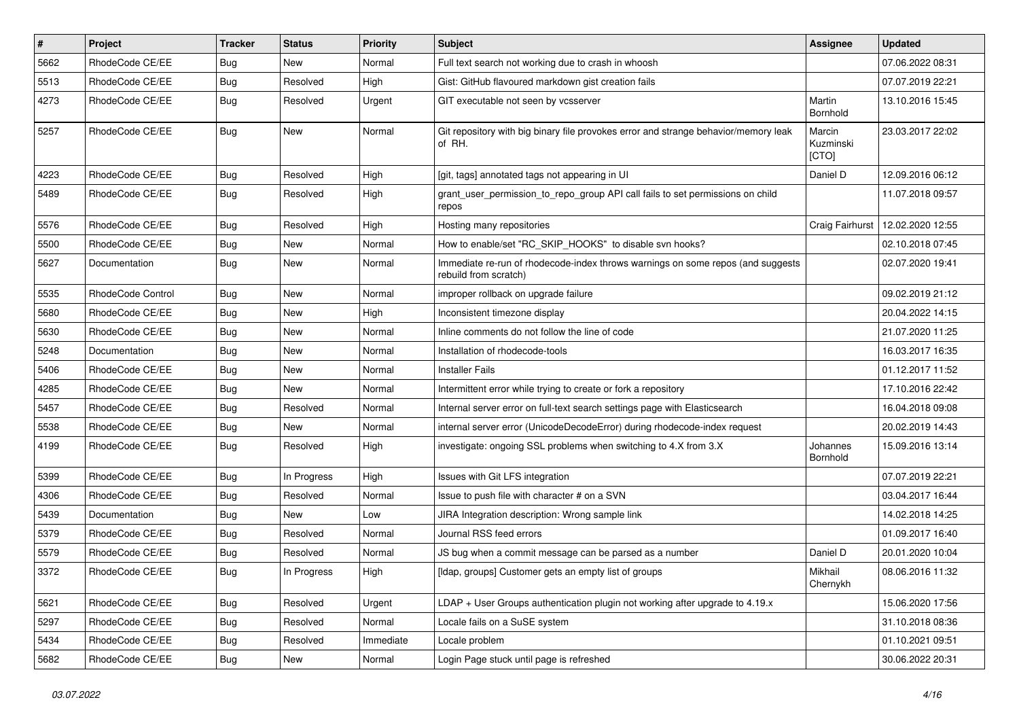| $\pmb{\#}$ | <b>Project</b>           | <b>Tracker</b> | <b>Status</b> | <b>Priority</b> | Subject                                                                                                  | <b>Assignee</b>              | <b>Updated</b>   |
|------------|--------------------------|----------------|---------------|-----------------|----------------------------------------------------------------------------------------------------------|------------------------------|------------------|
| 5662       | RhodeCode CE/EE          | <b>Bug</b>     | New           | Normal          | Full text search not working due to crash in whoosh                                                      |                              | 07.06.2022 08:31 |
| 5513       | RhodeCode CE/EE          | <b>Bug</b>     | Resolved      | High            | Gist: GitHub flavoured markdown gist creation fails                                                      |                              | 07.07.2019 22:21 |
| 4273       | RhodeCode CE/EE          | Bug            | Resolved      | Urgent          | GIT executable not seen by vcsserver                                                                     | Martin<br>Bornhold           | 13.10.2016 15:45 |
| 5257       | RhodeCode CE/EE          | Bug            | <b>New</b>    | Normal          | Git repository with big binary file provokes error and strange behavior/memory leak<br>of RH.            | Marcin<br>Kuzminski<br>[CTO] | 23.03.2017 22:02 |
| 4223       | RhodeCode CE/EE          | Bug            | Resolved      | High            | [git, tags] annotated tags not appearing in UI                                                           | Daniel D                     | 12.09.2016 06:12 |
| 5489       | RhodeCode CE/EE          | Bug            | Resolved      | High            | grant user permission to repo group API call fails to set permissions on child<br>repos                  |                              | 11.07.2018 09:57 |
| 5576       | RhodeCode CE/EE          | <b>Bug</b>     | Resolved      | High            | Hosting many repositories                                                                                | Craig Fairhurst              | 12.02.2020 12:55 |
| 5500       | RhodeCode CE/EE          | <b>Bug</b>     | New           | Normal          | How to enable/set "RC_SKIP_HOOKS" to disable svn hooks?                                                  |                              | 02.10.2018 07:45 |
| 5627       | Documentation            | Bug            | <b>New</b>    | Normal          | Immediate re-run of rhodecode-index throws warnings on some repos (and suggests<br>rebuild from scratch) |                              | 02.07.2020 19:41 |
| 5535       | <b>RhodeCode Control</b> | <b>Bug</b>     | New           | Normal          | improper rollback on upgrade failure                                                                     |                              | 09.02.2019 21:12 |
| 5680       | RhodeCode CE/EE          | Bug            | New           | High            | Inconsistent timezone display                                                                            |                              | 20.04.2022 14:15 |
| 5630       | RhodeCode CE/EE          | Bug            | New           | Normal          | Inline comments do not follow the line of code                                                           |                              | 21.07.2020 11:25 |
| 5248       | Documentation            | Bug            | New           | Normal          | Installation of rhodecode-tools                                                                          |                              | 16.03.2017 16:35 |
| 5406       | RhodeCode CE/EE          | <b>Bug</b>     | New           | Normal          | <b>Installer Fails</b>                                                                                   |                              | 01.12.2017 11:52 |
| 4285       | RhodeCode CE/EE          | Bug            | New           | Normal          | Intermittent error while trying to create or fork a repository                                           |                              | 17.10.2016 22:42 |
| 5457       | RhodeCode CE/EE          | Bug            | Resolved      | Normal          | Internal server error on full-text search settings page with Elasticsearch                               |                              | 16.04.2018 09:08 |
| 5538       | RhodeCode CE/EE          | Bug            | New           | Normal          | internal server error (UnicodeDecodeError) during rhodecode-index request                                |                              | 20.02.2019 14:43 |
| 4199       | RhodeCode CE/EE          | Bug            | Resolved      | High            | investigate: ongoing SSL problems when switching to 4.X from 3.X                                         | Johannes<br>Bornhold         | 15.09.2016 13:14 |
| 5399       | RhodeCode CE/EE          | Bug            | In Progress   | High            | Issues with Git LFS integration                                                                          |                              | 07.07.2019 22:21 |
| 4306       | RhodeCode CE/EE          | Bug            | Resolved      | Normal          | Issue to push file with character # on a SVN                                                             |                              | 03.04.2017 16:44 |
| 5439       | Documentation            | Bug            | New           | Low             | JIRA Integration description: Wrong sample link                                                          |                              | 14.02.2018 14:25 |
| 5379       | RhodeCode CE/EE          | Bug            | Resolved      | Normal          | Journal RSS feed errors                                                                                  |                              | 01.09.2017 16:40 |
| 5579       | RhodeCode CE/EE          | Bug            | Resolved      | Normal          | JS bug when a commit message can be parsed as a number                                                   | Daniel D                     | 20.01.2020 10:04 |
| 3372       | RhodeCode CE/EE          | Bug            | In Progress   | High            | [Idap, groups] Customer gets an empty list of groups                                                     | Mikhail<br>Chernykh          | 08.06.2016 11:32 |
| 5621       | RhodeCode CE/EE          | Bug            | Resolved      | Urgent          | LDAP + User Groups authentication plugin not working after upgrade to $4.19.x$                           |                              | 15.06.2020 17:56 |
| 5297       | RhodeCode CE/EE          | Bug            | Resolved      | Normal          | Locale fails on a SuSE system                                                                            |                              | 31.10.2018 08:36 |
| 5434       | RhodeCode CE/EE          | <b>Bug</b>     | Resolved      | Immediate       | Locale problem                                                                                           |                              | 01.10.2021 09:51 |
| 5682       | RhodeCode CE/EE          | Bug            | New           | Normal          | Login Page stuck until page is refreshed                                                                 |                              | 30.06.2022 20:31 |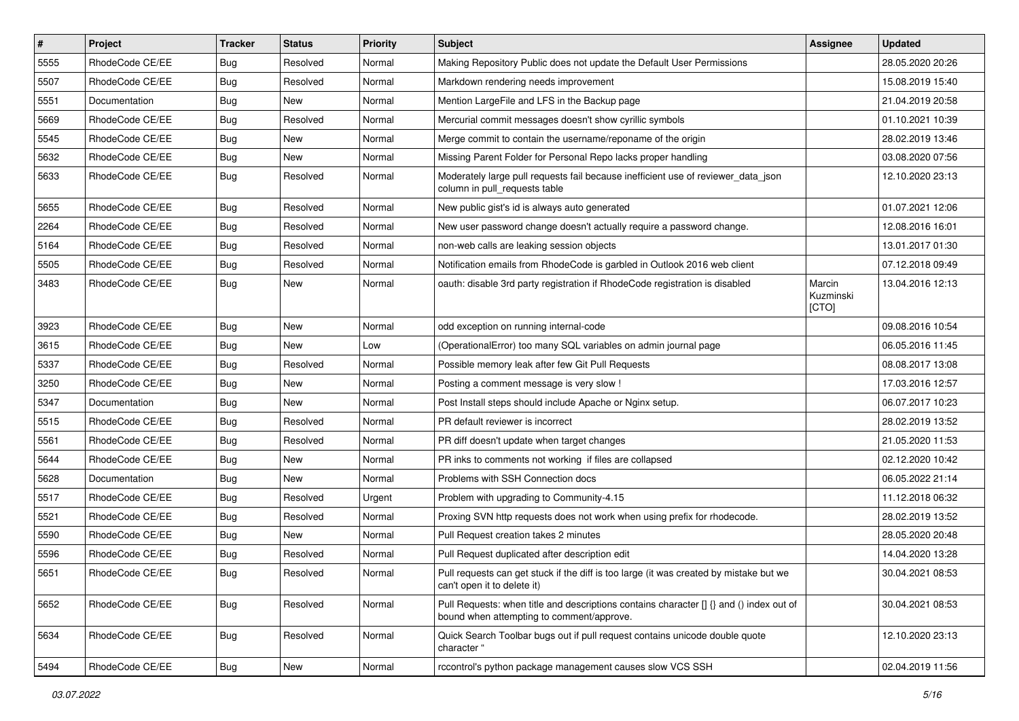| $\vert$ # | Project         | <b>Tracker</b> | <b>Status</b> | <b>Priority</b> | Subject                                                                                                                              | <b>Assignee</b>              | <b>Updated</b>   |
|-----------|-----------------|----------------|---------------|-----------------|--------------------------------------------------------------------------------------------------------------------------------------|------------------------------|------------------|
| 5555      | RhodeCode CE/EE | Bug            | Resolved      | Normal          | Making Repository Public does not update the Default User Permissions                                                                |                              | 28.05.2020 20:26 |
| 5507      | RhodeCode CE/EE | Bug            | Resolved      | Normal          | Markdown rendering needs improvement                                                                                                 |                              | 15.08.2019 15:40 |
| 5551      | Documentation   | Bug            | New           | Normal          | Mention LargeFile and LFS in the Backup page                                                                                         |                              | 21.04.2019 20:58 |
| 5669      | RhodeCode CE/EE | Bug            | Resolved      | Normal          | Mercurial commit messages doesn't show cyrillic symbols                                                                              |                              | 01.10.2021 10:39 |
| 5545      | RhodeCode CE/EE | <b>Bug</b>     | <b>New</b>    | Normal          | Merge commit to contain the username/reponame of the origin                                                                          |                              | 28.02.2019 13:46 |
| 5632      | RhodeCode CE/EE | Bug            | New           | Normal          | Missing Parent Folder for Personal Repo lacks proper handling                                                                        |                              | 03.08.2020 07:56 |
| 5633      | RhodeCode CE/EE | Bug            | Resolved      | Normal          | Moderately large pull requests fail because inefficient use of reviewer_data_json<br>column in pull requests table                   |                              | 12.10.2020 23:13 |
| 5655      | RhodeCode CE/EE | <b>Bug</b>     | Resolved      | Normal          | New public gist's id is always auto generated                                                                                        |                              | 01.07.2021 12:06 |
| 2264      | RhodeCode CE/EE | Bug            | Resolved      | Normal          | New user password change doesn't actually require a password change.                                                                 |                              | 12.08.2016 16:01 |
| 5164      | RhodeCode CE/EE | Bug            | Resolved      | Normal          | non-web calls are leaking session objects                                                                                            |                              | 13.01.2017 01:30 |
| 5505      | RhodeCode CE/EE | Bug            | Resolved      | Normal          | Notification emails from RhodeCode is garbled in Outlook 2016 web client                                                             |                              | 07.12.2018 09:49 |
| 3483      | RhodeCode CE/EE | Bug            | <b>New</b>    | Normal          | oauth: disable 3rd party registration if RhodeCode registration is disabled                                                          | Marcin<br>Kuzminski<br>[CTO] | 13.04.2016 12:13 |
| 3923      | RhodeCode CE/EE | <b>Bug</b>     | <b>New</b>    | Normal          | odd exception on running internal-code                                                                                               |                              | 09.08.2016 10:54 |
| 3615      | RhodeCode CE/EE | <b>Bug</b>     | New           | Low             | (OperationalError) too many SQL variables on admin journal page                                                                      |                              | 06.05.2016 11:45 |
| 5337      | RhodeCode CE/EE | Bug            | Resolved      | Normal          | Possible memory leak after few Git Pull Requests                                                                                     |                              | 08.08.2017 13:08 |
| 3250      | RhodeCode CE/EE | Bug            | New           | Normal          | Posting a comment message is very slow !                                                                                             |                              | 17.03.2016 12:57 |
| 5347      | Documentation   | Bug            | New           | Normal          | Post Install steps should include Apache or Nginx setup.                                                                             |                              | 06.07.2017 10:23 |
| 5515      | RhodeCode CE/EE | Bug            | Resolved      | Normal          | PR default reviewer is incorrect                                                                                                     |                              | 28.02.2019 13:52 |
| 5561      | RhodeCode CE/EE | Bug            | Resolved      | Normal          | PR diff doesn't update when target changes                                                                                           |                              | 21.05.2020 11:53 |
| 5644      | RhodeCode CE/EE | <b>Bug</b>     | New           | Normal          | PR inks to comments not working if files are collapsed                                                                               |                              | 02.12.2020 10:42 |
| 5628      | Documentation   | Bug            | New           | Normal          | Problems with SSH Connection docs                                                                                                    |                              | 06.05.2022 21:14 |
| 5517      | RhodeCode CE/EE | <b>Bug</b>     | Resolved      | Urgent          | Problem with upgrading to Community-4.15                                                                                             |                              | 11.12.2018 06:32 |
| 5521      | RhodeCode CE/EE | <b>Bug</b>     | Resolved      | Normal          | Proxing SVN http requests does not work when using prefix for rhodecode.                                                             |                              | 28.02.2019 13:52 |
| 5590      | RhodeCode CE/EE | Bug            | New           | Normal          | Pull Request creation takes 2 minutes                                                                                                |                              | 28.05.2020 20:48 |
| 5596      | RhodeCode CE/EE | Bug            | Resolved      | Normal          | Pull Request duplicated after description edit                                                                                       |                              | 14.04.2020 13:28 |
| 5651      | RhodeCode CE/EE | <b>Bug</b>     | Resolved      | Normal          | Pull requests can get stuck if the diff is too large (it was created by mistake but we<br>can't open it to delete it)                |                              | 30.04.2021 08:53 |
| 5652      | RhodeCode CE/EE | <b>Bug</b>     | Resolved      | Normal          | Pull Requests: when title and descriptions contains character [] {} and () index out of<br>bound when attempting to comment/approve. |                              | 30.04.2021 08:53 |
| 5634      | RhodeCode CE/EE | Bug            | Resolved      | Normal          | Quick Search Toolbar bugs out if pull request contains unicode double quote<br>character "                                           |                              | 12.10.2020 23:13 |
| 5494      | RhodeCode CE/EE | <b>Bug</b>     | New           | Normal          | rccontrol's python package management causes slow VCS SSH                                                                            |                              | 02.04.2019 11:56 |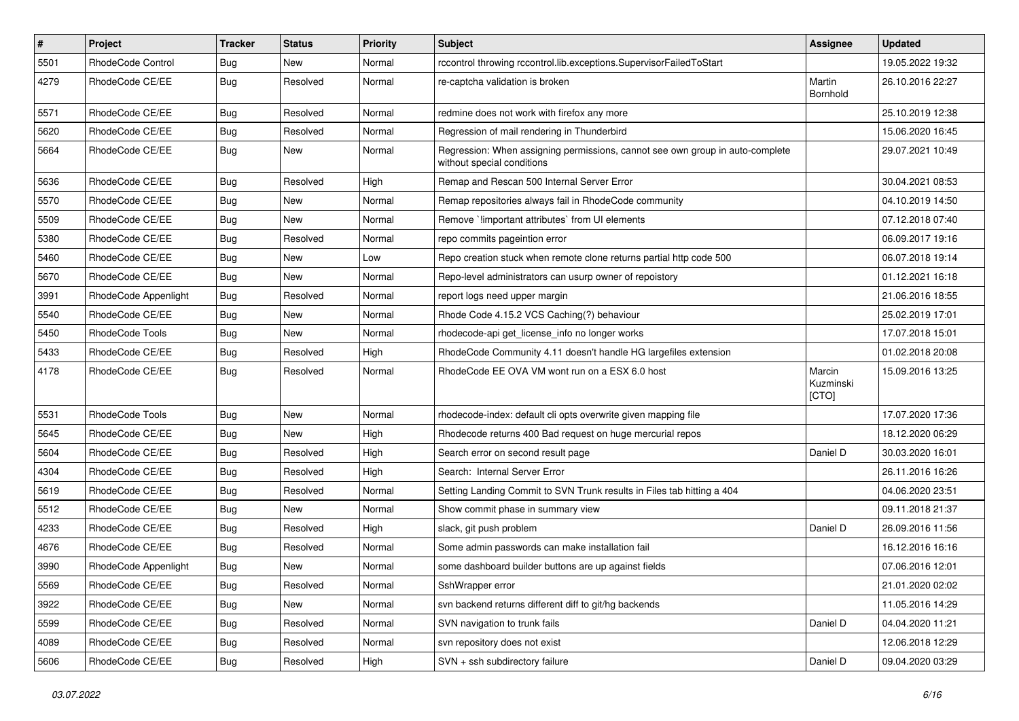| $\pmb{\#}$ | Project              | <b>Tracker</b> | <b>Status</b> | <b>Priority</b> | <b>Subject</b>                                                                                              | Assignee                     | <b>Updated</b>   |
|------------|----------------------|----------------|---------------|-----------------|-------------------------------------------------------------------------------------------------------------|------------------------------|------------------|
| 5501       | RhodeCode Control    | Bug            | New           | Normal          | rccontrol throwing rccontrol.lib.exceptions.SupervisorFailedToStart                                         |                              | 19.05.2022 19:32 |
| 4279       | RhodeCode CE/EE      | Bug            | Resolved      | Normal          | re-captcha validation is broken                                                                             | Martin<br>Bornhold           | 26.10.2016 22:27 |
| 5571       | RhodeCode CE/EE      | Bug            | Resolved      | Normal          | redmine does not work with firefox any more                                                                 |                              | 25.10.2019 12:38 |
| 5620       | RhodeCode CE/EE      | Bug            | Resolved      | Normal          | Regression of mail rendering in Thunderbird                                                                 |                              | 15.06.2020 16:45 |
| 5664       | RhodeCode CE/EE      | Bug            | New           | Normal          | Regression: When assigning permissions, cannot see own group in auto-complete<br>without special conditions |                              | 29.07.2021 10:49 |
| 5636       | RhodeCode CE/EE      | <b>Bug</b>     | Resolved      | High            | Remap and Rescan 500 Internal Server Error                                                                  |                              | 30.04.2021 08:53 |
| 5570       | RhodeCode CE/EE      | Bug            | New           | Normal          | Remap repositories always fail in RhodeCode community                                                       |                              | 04.10.2019 14:50 |
| 5509       | RhodeCode CE/EE      | Bug            | <b>New</b>    | Normal          | Remove `!important attributes` from UI elements                                                             |                              | 07.12.2018 07:40 |
| 5380       | RhodeCode CE/EE      | Bug            | Resolved      | Normal          | repo commits pageintion error                                                                               |                              | 06.09.2017 19:16 |
| 5460       | RhodeCode CE/EE      | Bug            | New           | Low             | Repo creation stuck when remote clone returns partial http code 500                                         |                              | 06.07.2018 19:14 |
| 5670       | RhodeCode CE/EE      | Bug            | New           | Normal          | Repo-level administrators can usurp owner of repoistory                                                     |                              | 01.12.2021 16:18 |
| 3991       | RhodeCode Appenlight | <b>Bug</b>     | Resolved      | Normal          | report logs need upper margin                                                                               |                              | 21.06.2016 18:55 |
| 5540       | RhodeCode CE/EE      | Bug            | <b>New</b>    | Normal          | Rhode Code 4.15.2 VCS Caching(?) behaviour                                                                  |                              | 25.02.2019 17:01 |
| 5450       | RhodeCode Tools      | Bug            | New           | Normal          | rhodecode-api get license info no longer works                                                              |                              | 17.07.2018 15:01 |
| 5433       | RhodeCode CE/EE      | Bug            | Resolved      | High            | RhodeCode Community 4.11 doesn't handle HG largefiles extension                                             |                              | 01.02.2018 20:08 |
| 4178       | RhodeCode CE/EE      | Bug            | Resolved      | Normal          | RhodeCode EE OVA VM wont run on a ESX 6.0 host                                                              | Marcin<br>Kuzminski<br>[CTO] | 15.09.2016 13:25 |
| 5531       | RhodeCode Tools      | Bug            | <b>New</b>    | Normal          | rhodecode-index: default cli opts overwrite given mapping file                                              |                              | 17.07.2020 17:36 |
| 5645       | RhodeCode CE/EE      | Bug            | New           | High            | Rhodecode returns 400 Bad request on huge mercurial repos                                                   |                              | 18.12.2020 06:29 |
| 5604       | RhodeCode CE/EE      | <b>Bug</b>     | Resolved      | High            | Search error on second result page                                                                          | Daniel D                     | 30.03.2020 16:01 |
| 4304       | RhodeCode CE/EE      | Bug            | Resolved      | High            | Search: Internal Server Error                                                                               |                              | 26.11.2016 16:26 |
| 5619       | RhodeCode CE/EE      | <b>Bug</b>     | Resolved      | Normal          | Setting Landing Commit to SVN Trunk results in Files tab hitting a 404                                      |                              | 04.06.2020 23:51 |
| 5512       | RhodeCode CE/EE      | Bug            | <b>New</b>    | Normal          | Show commit phase in summary view                                                                           |                              | 09.11.2018 21:37 |
| 4233       | RhodeCode CE/EE      | Bug            | Resolved      | High            | slack, git push problem                                                                                     | Daniel D                     | 26.09.2016 11:56 |
| 4676       | RhodeCode CE/EE      | <b>Bug</b>     | Resolved      | Normal          | Some admin passwords can make installation fail                                                             |                              | 16.12.2016 16:16 |
| 3990       | RhodeCode Appenlight | <b>Bug</b>     | New           | Normal          | some dashboard builder buttons are up against fields                                                        |                              | 07.06.2016 12:01 |
| 5569       | RhodeCode CE/EE      | Bug            | Resolved      | Normal          | SshWrapper error                                                                                            |                              | 21.01.2020 02:02 |
| 3922       | RhodeCode CE/EE      | <b>Bug</b>     | New           | Normal          | svn backend returns different diff to git/hg backends                                                       |                              | 11.05.2016 14:29 |
| 5599       | RhodeCode CE/EE      | <b>Bug</b>     | Resolved      | Normal          | SVN navigation to trunk fails                                                                               | Daniel D                     | 04.04.2020 11:21 |
| 4089       | RhodeCode CE/EE      | <b>Bug</b>     | Resolved      | Normal          | svn repository does not exist                                                                               |                              | 12.06.2018 12:29 |
| 5606       | RhodeCode CE/EE      | Bug            | Resolved      | High            | SVN + ssh subdirectory failure                                                                              | Daniel D                     | 09.04.2020 03:29 |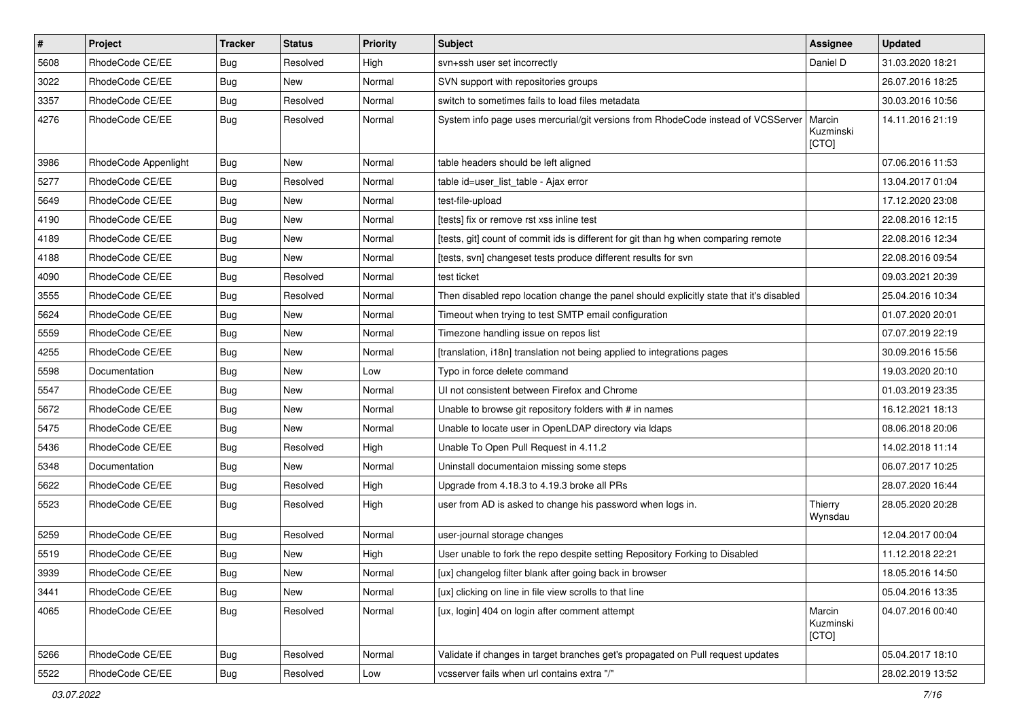| #    | Project              | <b>Tracker</b> | <b>Status</b> | <b>Priority</b> | <b>Subject</b>                                                                          | Assignee                     | <b>Updated</b>   |
|------|----------------------|----------------|---------------|-----------------|-----------------------------------------------------------------------------------------|------------------------------|------------------|
| 5608 | RhodeCode CE/EE      | Bug            | Resolved      | High            | svn+ssh user set incorrectly                                                            | Daniel D                     | 31.03.2020 18:21 |
| 3022 | RhodeCode CE/EE      | Bug            | <b>New</b>    | Normal          | SVN support with repositories groups                                                    |                              | 26.07.2016 18:25 |
| 3357 | RhodeCode CE/EE      | Bug            | Resolved      | Normal          | switch to sometimes fails to load files metadata                                        |                              | 30.03.2016 10:56 |
| 4276 | RhodeCode CE/EE      | Bug            | Resolved      | Normal          | System info page uses mercurial/git versions from RhodeCode instead of VCSServer        | Marcin<br>Kuzminski<br>[CTO] | 14.11.2016 21:19 |
| 3986 | RhodeCode Appenlight | Bug            | New           | Normal          | table headers should be left aligned                                                    |                              | 07.06.2016 11:53 |
| 5277 | RhodeCode CE/EE      | Bug            | Resolved      | Normal          | table id=user list table - Ajax error                                                   |                              | 13.04.2017 01:04 |
| 5649 | RhodeCode CE/EE      | Bug            | New           | Normal          | test-file-upload                                                                        |                              | 17.12.2020 23:08 |
| 4190 | RhodeCode CE/EE      | Bug            | New           | Normal          | [tests] fix or remove rst xss inline test                                               |                              | 22.08.2016 12:15 |
| 4189 | RhodeCode CE/EE      | Bug            | New           | Normal          | [tests, git] count of commit ids is different for git than hg when comparing remote     |                              | 22.08.2016 12:34 |
| 4188 | RhodeCode CE/EE      | Bug            | New           | Normal          | [tests, svn] changeset tests produce different results for svn                          |                              | 22.08.2016 09:54 |
| 4090 | RhodeCode CE/EE      | Bug            | Resolved      | Normal          | test ticket                                                                             |                              | 09.03.2021 20:39 |
| 3555 | RhodeCode CE/EE      | <b>Bug</b>     | Resolved      | Normal          | Then disabled repo location change the panel should explicitly state that it's disabled |                              | 25.04.2016 10:34 |
| 5624 | RhodeCode CE/EE      | Bug            | New           | Normal          | Timeout when trying to test SMTP email configuration                                    |                              | 01.07.2020 20:01 |
| 5559 | RhodeCode CE/EE      | Bug            | New           | Normal          | Timezone handling issue on repos list                                                   |                              | 07.07.2019 22:19 |
| 4255 | RhodeCode CE/EE      | Bug            | New           | Normal          | [translation, i18n] translation not being applied to integrations pages                 |                              | 30.09.2016 15:56 |
| 5598 | Documentation        | Bug            | New           | Low             | Typo in force delete command                                                            |                              | 19.03.2020 20:10 |
| 5547 | RhodeCode CE/EE      | Bug            | New           | Normal          | UI not consistent between Firefox and Chrome                                            |                              | 01.03.2019 23:35 |
| 5672 | RhodeCode CE/EE      | Bug            | New           | Normal          | Unable to browse git repository folders with # in names                                 |                              | 16.12.2021 18:13 |
| 5475 | RhodeCode CE/EE      | <b>Bug</b>     | <b>New</b>    | Normal          | Unable to locate user in OpenLDAP directory via Idaps                                   |                              | 08.06.2018 20:06 |
| 5436 | RhodeCode CE/EE      | Bug            | Resolved      | High            | Unable To Open Pull Request in 4.11.2                                                   |                              | 14.02.2018 11:14 |
| 5348 | Documentation        | <b>Bug</b>     | New           | Normal          | Uninstall documentaion missing some steps                                               |                              | 06.07.2017 10:25 |
| 5622 | RhodeCode CE/EE      | Bug            | Resolved      | High            | Upgrade from 4.18.3 to 4.19.3 broke all PRs                                             |                              | 28.07.2020 16:44 |
| 5523 | RhodeCode CE/EE      | Bug            | Resolved      | High            | user from AD is asked to change his password when logs in.                              | Thierry<br>Wynsdau           | 28.05.2020 20:28 |
| 5259 | RhodeCode CE/EE      | Bug            | Resolved      | Normal          | user-journal storage changes                                                            |                              | 12.04.2017 00:04 |
| 5519 | RhodeCode CE/EE      | Bug            | New           | High            | User unable to fork the repo despite setting Repository Forking to Disabled             |                              | 11.12.2018 22:21 |
| 3939 | RhodeCode CE/EE      | Bug            | New           | Normal          | [ux] changelog filter blank after going back in browser                                 |                              | 18.05.2016 14:50 |
| 3441 | RhodeCode CE/EE      | Bug            | New           | Normal          | [ux] clicking on line in file view scrolls to that line                                 |                              | 05.04.2016 13:35 |
| 4065 | RhodeCode CE/EE      | <b>Bug</b>     | Resolved      | Normal          | [ux, login] 404 on login after comment attempt                                          | Marcin<br>Kuzminski<br>[CTO] | 04.07.2016 00:40 |
| 5266 | RhodeCode CE/EE      | Bug            | Resolved      | Normal          | Validate if changes in target branches get's propagated on Pull request updates         |                              | 05.04.2017 18:10 |
| 5522 | RhodeCode CE/EE      | <b>Bug</b>     | Resolved      | Low             | vcsserver fails when url contains extra "/"                                             |                              | 28.02.2019 13:52 |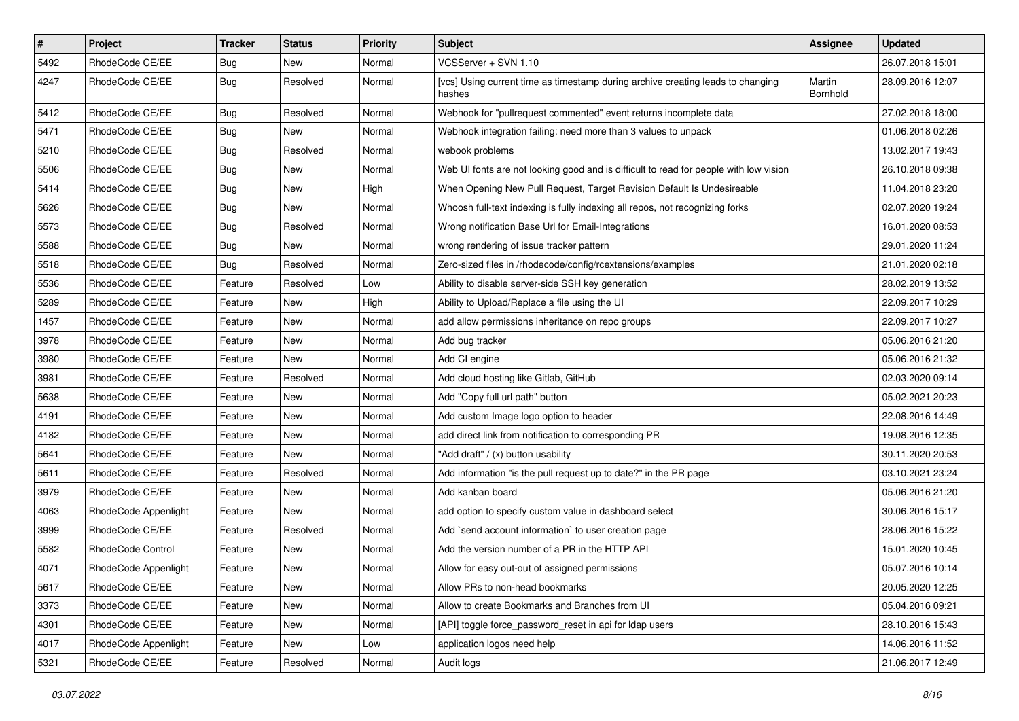| $\pmb{\#}$ | Project              | <b>Tracker</b> | <b>Status</b> | <b>Priority</b> | <b>Subject</b>                                                                            | <b>Assignee</b>    | <b>Updated</b>   |
|------------|----------------------|----------------|---------------|-----------------|-------------------------------------------------------------------------------------------|--------------------|------------------|
| 5492       | RhodeCode CE/EE      | <b>Bug</b>     | New           | Normal          | VCSServer + SVN 1.10                                                                      |                    | 26.07.2018 15:01 |
| 4247       | RhodeCode CE/EE      | Bug            | Resolved      | Normal          | [vcs] Using current time as timestamp during archive creating leads to changing<br>hashes | Martin<br>Bornhold | 28.09.2016 12:07 |
| 5412       | RhodeCode CE/EE      | <b>Bug</b>     | Resolved      | Normal          | Webhook for "pullrequest commented" event returns incomplete data                         |                    | 27.02.2018 18:00 |
| 5471       | RhodeCode CE/EE      | Bug            | New           | Normal          | Webhook integration failing: need more than 3 values to unpack                            |                    | 01.06.2018 02:26 |
| 5210       | RhodeCode CE/EE      | <b>Bug</b>     | Resolved      | Normal          | webook problems                                                                           |                    | 13.02.2017 19:43 |
| 5506       | RhodeCode CE/EE      | <b>Bug</b>     | New           | Normal          | Web UI fonts are not looking good and is difficult to read for people with low vision     |                    | 26.10.2018 09:38 |
| 5414       | RhodeCode CE/EE      | Bug            | New           | High            | When Opening New Pull Request, Target Revision Default Is Undesireable                    |                    | 11.04.2018 23:20 |
| 5626       | RhodeCode CE/EE      | <b>Bug</b>     | New           | Normal          | Whoosh full-text indexing is fully indexing all repos, not recognizing forks              |                    | 02.07.2020 19:24 |
| 5573       | RhodeCode CE/EE      | <b>Bug</b>     | Resolved      | Normal          | Wrong notification Base Url for Email-Integrations                                        |                    | 16.01.2020 08:53 |
| 5588       | RhodeCode CE/EE      | Bug            | New           | Normal          | wrong rendering of issue tracker pattern                                                  |                    | 29.01.2020 11:24 |
| 5518       | RhodeCode CE/EE      | <b>Bug</b>     | Resolved      | Normal          | Zero-sized files in /rhodecode/config/rcextensions/examples                               |                    | 21.01.2020 02:18 |
| 5536       | RhodeCode CE/EE      | Feature        | Resolved      | Low             | Ability to disable server-side SSH key generation                                         |                    | 28.02.2019 13:52 |
| 5289       | RhodeCode CE/EE      | Feature        | New           | High            | Ability to Upload/Replace a file using the UI                                             |                    | 22.09.2017 10:29 |
| 1457       | RhodeCode CE/EE      | Feature        | New           | Normal          | add allow permissions inheritance on repo groups                                          |                    | 22.09.2017 10:27 |
| 3978       | RhodeCode CE/EE      | Feature        | New           | Normal          | Add bug tracker                                                                           |                    | 05.06.2016 21:20 |
| 3980       | RhodeCode CE/EE      | Feature        | New           | Normal          | Add CI engine                                                                             |                    | 05.06.2016 21:32 |
| 3981       | RhodeCode CE/EE      | Feature        | Resolved      | Normal          | Add cloud hosting like Gitlab, GitHub                                                     |                    | 02.03.2020 09:14 |
| 5638       | RhodeCode CE/EE      | Feature        | New           | Normal          | Add "Copy full url path" button                                                           |                    | 05.02.2021 20:23 |
| 4191       | RhodeCode CE/EE      | Feature        | New           | Normal          | Add custom Image logo option to header                                                    |                    | 22.08.2016 14:49 |
| 4182       | RhodeCode CE/EE      | Feature        | New           | Normal          | add direct link from notification to corresponding PR                                     |                    | 19.08.2016 12:35 |
| 5641       | RhodeCode CE/EE      | Feature        | <b>New</b>    | Normal          | "Add draft" / (x) button usability                                                        |                    | 30.11.2020 20:53 |
| 5611       | RhodeCode CE/EE      | Feature        | Resolved      | Normal          | Add information "is the pull request up to date?" in the PR page                          |                    | 03.10.2021 23:24 |
| 3979       | RhodeCode CE/EE      | Feature        | New           | Normal          | Add kanban board                                                                          |                    | 05.06.2016 21:20 |
| 4063       | RhodeCode Appenlight | Feature        | New           | Normal          | add option to specify custom value in dashboard select                                    |                    | 30.06.2016 15:17 |
| 3999       | RhodeCode CE/EE      | Feature        | Resolved      | Normal          | Add `send account information` to user creation page                                      |                    | 28.06.2016 15:22 |
| 5582       | RhodeCode Control    | Feature        | New           | Normal          | Add the version number of a PR in the HTTP API                                            |                    | 15.01.2020 10:45 |
| 4071       | RhodeCode Appenlight | Feature        | New           | Normal          | Allow for easy out-out of assigned permissions                                            |                    | 05.07.2016 10:14 |
| 5617       | RhodeCode CE/EE      | Feature        | New           | Normal          | Allow PRs to non-head bookmarks                                                           |                    | 20.05.2020 12:25 |
| 3373       | RhodeCode CE/EE      | Feature        | New           | Normal          | Allow to create Bookmarks and Branches from UI                                            |                    | 05.04.2016 09:21 |
| 4301       | RhodeCode CE/EE      | Feature        | New           | Normal          | [API] toggle force_password_reset in api for Idap users                                   |                    | 28.10.2016 15:43 |
| 4017       | RhodeCode Appenlight | Feature        | New           | Low             | application logos need help                                                               |                    | 14.06.2016 11:52 |
| 5321       | RhodeCode CE/EE      | Feature        | Resolved      | Normal          | Audit logs                                                                                |                    | 21.06.2017 12:49 |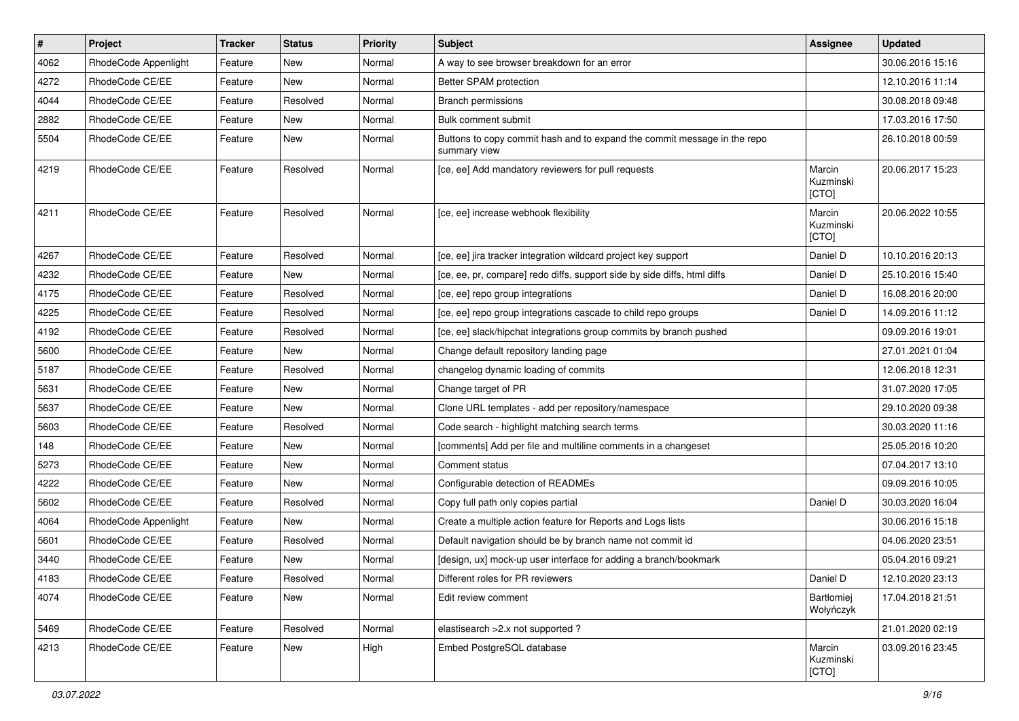| $\vert$ # | Project              | <b>Tracker</b> | <b>Status</b> | <b>Priority</b> | Subject                                                                                  | <b>Assignee</b>              | <b>Updated</b>   |
|-----------|----------------------|----------------|---------------|-----------------|------------------------------------------------------------------------------------------|------------------------------|------------------|
| 4062      | RhodeCode Appenlight | Feature        | New           | Normal          | A way to see browser breakdown for an error                                              |                              | 30.06.2016 15:16 |
| 4272      | RhodeCode CE/EE      | Feature        | New           | Normal          | Better SPAM protection                                                                   |                              | 12.10.2016 11:14 |
| 4044      | RhodeCode CE/EE      | Feature        | Resolved      | Normal          | Branch permissions                                                                       |                              | 30.08.2018 09:48 |
| 2882      | RhodeCode CE/EE      | Feature        | New           | Normal          | Bulk comment submit                                                                      |                              | 17.03.2016 17:50 |
| 5504      | RhodeCode CE/EE      | Feature        | <b>New</b>    | Normal          | Buttons to copy commit hash and to expand the commit message in the repo<br>summary view |                              | 26.10.2018 00:59 |
| 4219      | RhodeCode CE/EE      | Feature        | Resolved      | Normal          | [ce, ee] Add mandatory reviewers for pull requests                                       | Marcin<br>Kuzminski<br>[CTO] | 20.06.2017 15:23 |
| 4211      | RhodeCode CE/EE      | Feature        | Resolved      | Normal          | [ce, ee] increase webhook flexibility                                                    | Marcin<br>Kuzminski<br>[CTO] | 20.06.2022 10:55 |
| 4267      | RhodeCode CE/EE      | Feature        | Resolved      | Normal          | [ce, ee] jira tracker integration wildcard project key support                           | Daniel D                     | 10.10.2016 20:13 |
| 4232      | RhodeCode CE/EE      | Feature        | New           | Normal          | [ce, ee, pr, compare] redo diffs, support side by side diffs, html diffs                 | Daniel D                     | 25.10.2016 15:40 |
| 4175      | RhodeCode CE/EE      | Feature        | Resolved      | Normal          | [ce, ee] repo group integrations                                                         | Daniel D                     | 16.08.2016 20:00 |
| 4225      | RhodeCode CE/EE      | Feature        | Resolved      | Normal          | [ce, ee] repo group integrations cascade to child repo groups                            | Daniel D                     | 14.09.2016 11:12 |
| 4192      | RhodeCode CE/EE      | Feature        | Resolved      | Normal          | [ce, ee] slack/hipchat integrations group commits by branch pushed                       |                              | 09.09.2016 19:01 |
| 5600      | RhodeCode CE/EE      | Feature        | <b>New</b>    | Normal          | Change default repository landing page                                                   |                              | 27.01.2021 01:04 |
| 5187      | RhodeCode CE/EE      | Feature        | Resolved      | Normal          | changelog dynamic loading of commits                                                     |                              | 12.06.2018 12:31 |
| 5631      | RhodeCode CE/EE      | Feature        | New           | Normal          | Change target of PR                                                                      |                              | 31.07.2020 17:05 |
| 5637      | RhodeCode CE/EE      | Feature        | <b>New</b>    | Normal          | Clone URL templates - add per repository/namespace                                       |                              | 29.10.2020 09:38 |
| 5603      | RhodeCode CE/EE      | Feature        | Resolved      | Normal          | Code search - highlight matching search terms                                            |                              | 30.03.2020 11:16 |
| 148       | RhodeCode CE/EE      | Feature        | <b>New</b>    | Normal          | [comments] Add per file and multiline comments in a changeset                            |                              | 25.05.2016 10:20 |
| 5273      | RhodeCode CE/EE      | Feature        | <b>New</b>    | Normal          | Comment status                                                                           |                              | 07.04.2017 13:10 |
| 4222      | RhodeCode CE/EE      | Feature        | New           | Normal          | Configurable detection of READMEs                                                        |                              | 09.09.2016 10:05 |
| 5602      | RhodeCode CE/EE      | Feature        | Resolved      | Normal          | Copy full path only copies partial                                                       | Daniel D                     | 30.03.2020 16:04 |
| 4064      | RhodeCode Appenlight | Feature        | New           | Normal          | Create a multiple action feature for Reports and Logs lists                              |                              | 30.06.2016 15:18 |
| 5601      | RhodeCode CE/EE      | Feature        | Resolved      | Normal          | Default navigation should be by branch name not commit id                                |                              | 04.06.2020 23:51 |
| 3440      | RhodeCode CE/EE      | Feature        | New           | Normal          | [design, ux] mock-up user interface for adding a branch/bookmark                         |                              | 05.04.2016 09:21 |
| 4183      | RhodeCode CE/EE      | Feature        | Resolved      | Normal          | Different roles for PR reviewers                                                         | Daniel D                     | 12.10.2020 23:13 |
| 4074      | RhodeCode CE/EE      | Feature        | New           | Normal          | Edit review comment                                                                      | Bartłomiej<br>Wołyńczyk      | 17.04.2018 21:51 |
| 5469      | RhodeCode CE/EE      | Feature        | Resolved      | Normal          | elastisearch > 2.x not supported ?                                                       |                              | 21.01.2020 02:19 |
| 4213      | RhodeCode CE/EE      | Feature        | New           | High            | Embed PostgreSQL database                                                                | Marcin<br>Kuzminski<br>[CTO] | 03.09.2016 23:45 |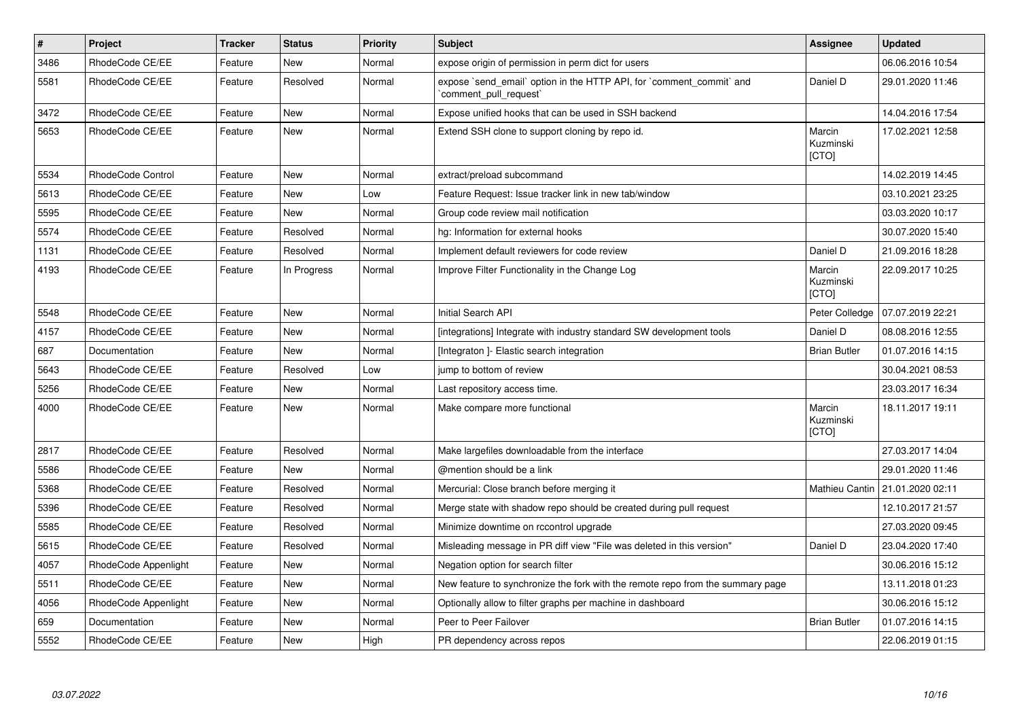| $\pmb{\#}$ | <b>Project</b>       | <b>Tracker</b> | <b>Status</b> | <b>Priority</b> | <b>Subject</b>                                                                                 | <b>Assignee</b>                     | <b>Updated</b>   |
|------------|----------------------|----------------|---------------|-----------------|------------------------------------------------------------------------------------------------|-------------------------------------|------------------|
| 3486       | RhodeCode CE/EE      | Feature        | New           | Normal          | expose origin of permission in perm dict for users                                             |                                     | 06.06.2016 10:54 |
| 5581       | RhodeCode CE/EE      | Feature        | Resolved      | Normal          | expose `send email` option in the HTTP API, for `comment commit` and<br>`comment_pull_request` | Daniel D                            | 29.01.2020 11:46 |
| 3472       | RhodeCode CE/EE      | Feature        | <b>New</b>    | Normal          | Expose unified hooks that can be used in SSH backend                                           |                                     | 14.04.2016 17:54 |
| 5653       | RhodeCode CE/EE      | Feature        | New           | Normal          | Extend SSH clone to support cloning by repo id.                                                | Marcin<br>Kuzminski<br>[CTO]        | 17.02.2021 12:58 |
| 5534       | RhodeCode Control    | Feature        | New           | Normal          | extract/preload subcommand                                                                     |                                     | 14.02.2019 14:45 |
| 5613       | RhodeCode CE/EE      | Feature        | New           | Low             | Feature Request: Issue tracker link in new tab/window                                          |                                     | 03.10.2021 23:25 |
| 5595       | RhodeCode CE/EE      | Feature        | <b>New</b>    | Normal          | Group code review mail notification                                                            |                                     | 03.03.2020 10:17 |
| 5574       | RhodeCode CE/EE      | Feature        | Resolved      | Normal          | hg: Information for external hooks                                                             |                                     | 30.07.2020 15:40 |
| 1131       | RhodeCode CE/EE      | Feature        | Resolved      | Normal          | Implement default reviewers for code review                                                    | Daniel D                            | 21.09.2016 18:28 |
| 4193       | RhodeCode CE/EE      | Feature        | In Progress   | Normal          | Improve Filter Functionality in the Change Log                                                 | Marcin<br>Kuzminski<br><b>[CTO]</b> | 22.09.2017 10:25 |
| 5548       | RhodeCode CE/EE      | Feature        | <b>New</b>    | Normal          | <b>Initial Search API</b>                                                                      | Peter Colledge                      | 07.07.2019 22:21 |
| 4157       | RhodeCode CE/EE      | Feature        | New           | Normal          | [integrations] Integrate with industry standard SW development tools                           | Daniel D                            | 08.08.2016 12:55 |
| 687        | Documentation        | Feature        | <b>New</b>    | Normal          | [Integraton ]- Elastic search integration                                                      | <b>Brian Butler</b>                 | 01.07.2016 14:15 |
| 5643       | RhodeCode CE/EE      | Feature        | Resolved      | Low             | jump to bottom of review                                                                       |                                     | 30.04.2021 08:53 |
| 5256       | RhodeCode CE/EE      | Feature        | New           | Normal          | Last repository access time.                                                                   |                                     | 23.03.2017 16:34 |
| 4000       | RhodeCode CE/EE      | Feature        | <b>New</b>    | Normal          | Make compare more functional                                                                   | Marcin<br>Kuzminski<br>[CTO]        | 18.11.2017 19:11 |
| 2817       | RhodeCode CE/EE      | Feature        | Resolved      | Normal          | Make largefiles downloadable from the interface                                                |                                     | 27.03.2017 14:04 |
| 5586       | RhodeCode CE/EE      | Feature        | <b>New</b>    | Normal          | @mention should be a link                                                                      |                                     | 29.01.2020 11:46 |
| 5368       | RhodeCode CE/EE      | Feature        | Resolved      | Normal          | Mercurial: Close branch before merging it                                                      | Mathieu Cantin                      | 21.01.2020 02:11 |
| 5396       | RhodeCode CE/EE      | Feature        | Resolved      | Normal          | Merge state with shadow repo should be created during pull request                             |                                     | 12.10.2017 21:57 |
| 5585       | RhodeCode CE/EE      | Feature        | Resolved      | Normal          | Minimize downtime on rccontrol upgrade                                                         |                                     | 27.03.2020 09:45 |
| 5615       | RhodeCode CE/EE      | Feature        | Resolved      | Normal          | Misleading message in PR diff view "File was deleted in this version"                          | Daniel D                            | 23.04.2020 17:40 |
| 4057       | RhodeCode Appenlight | Feature        | New           | Normal          | Negation option for search filter                                                              |                                     | 30.06.2016 15:12 |
| 5511       | RhodeCode CE/EE      | Feature        | <b>New</b>    | Normal          | New feature to synchronize the fork with the remote repo from the summary page                 |                                     | 13.11.2018 01:23 |
| 4056       | RhodeCode Appenlight | Feature        | New           | Normal          | Optionally allow to filter graphs per machine in dashboard                                     |                                     | 30.06.2016 15:12 |
| 659        | Documentation        | Feature        | New           | Normal          | Peer to Peer Failover                                                                          | <b>Brian Butler</b>                 | 01.07.2016 14:15 |
| 5552       | RhodeCode CE/EE      | Feature        | <b>New</b>    | High            | PR dependency across repos                                                                     |                                     | 22.06.2019 01:15 |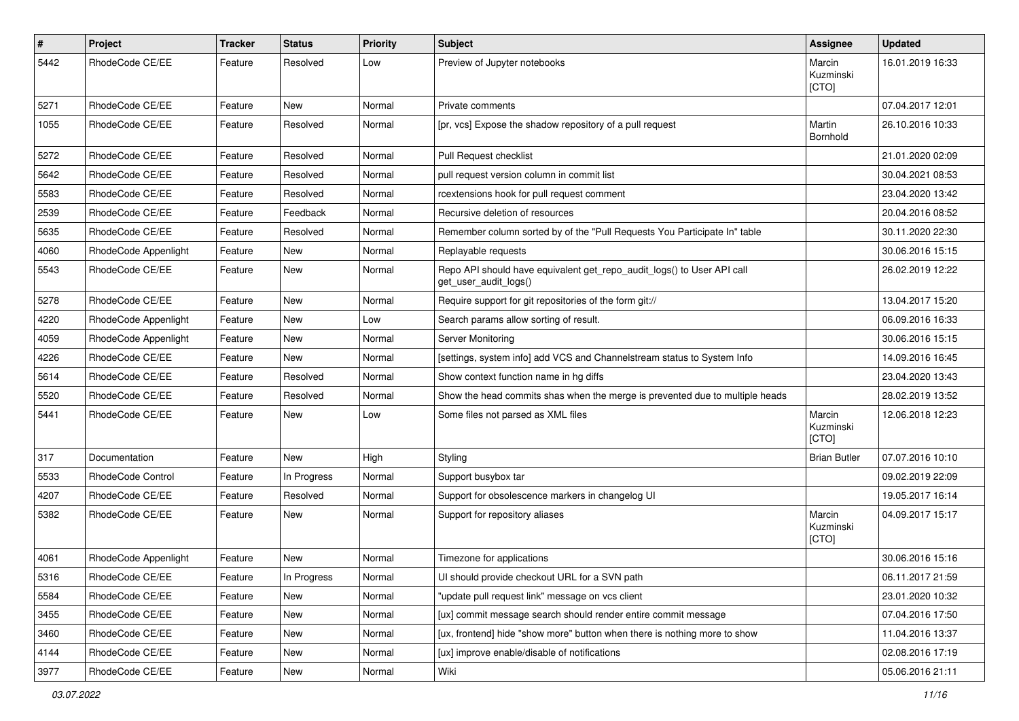| $\#$ | <b>Project</b>       | Tracker | <b>Status</b> | <b>Priority</b> | <b>Subject</b>                                                                                  | Assignee                     | <b>Updated</b>   |
|------|----------------------|---------|---------------|-----------------|-------------------------------------------------------------------------------------------------|------------------------------|------------------|
| 5442 | RhodeCode CE/EE      | Feature | Resolved      | Low             | Preview of Jupyter notebooks                                                                    | Marcin<br>Kuzminski<br>[CTO] | 16.01.2019 16:33 |
| 5271 | RhodeCode CE/EE      | Feature | New           | Normal          | Private comments                                                                                |                              | 07.04.2017 12:01 |
| 1055 | RhodeCode CE/EE      | Feature | Resolved      | Normal          | [pr, vcs] Expose the shadow repository of a pull request                                        | Martin<br>Bornhold           | 26.10.2016 10:33 |
| 5272 | RhodeCode CE/EE      | Feature | Resolved      | Normal          | Pull Request checklist                                                                          |                              | 21.01.2020 02:09 |
| 5642 | RhodeCode CE/EE      | Feature | Resolved      | Normal          | pull request version column in commit list                                                      |                              | 30.04.2021 08:53 |
| 5583 | RhodeCode CE/EE      | Feature | Resolved      | Normal          | rcextensions hook for pull request comment                                                      |                              | 23.04.2020 13:42 |
| 2539 | RhodeCode CE/EE      | Feature | Feedback      | Normal          | Recursive deletion of resources                                                                 |                              | 20.04.2016 08:52 |
| 5635 | RhodeCode CE/EE      | Feature | Resolved      | Normal          | Remember column sorted by of the "Pull Requests You Participate In" table                       |                              | 30.11.2020 22:30 |
| 4060 | RhodeCode Appenlight | Feature | New           | Normal          | Replayable requests                                                                             |                              | 30.06.2016 15:15 |
| 5543 | RhodeCode CE/EE      | Feature | New           | Normal          | Repo API should have equivalent get_repo_audit_logs() to User API call<br>get user audit logs() |                              | 26.02.2019 12:22 |
| 5278 | RhodeCode CE/EE      | Feature | <b>New</b>    | Normal          | Require support for git repositories of the form git://                                         |                              | 13.04.2017 15:20 |
| 4220 | RhodeCode Appenlight | Feature | New           | Low             | Search params allow sorting of result.                                                          |                              | 06.09.2016 16:33 |
| 4059 | RhodeCode Appenlight | Feature | New           | Normal          | Server Monitoring                                                                               |                              | 30.06.2016 15:15 |
| 4226 | RhodeCode CE/EE      | Feature | <b>New</b>    | Normal          | [settings, system info] add VCS and Channelstream status to System Info                         |                              | 14.09.2016 16:45 |
| 5614 | RhodeCode CE/EE      | Feature | Resolved      | Normal          | Show context function name in hg diffs                                                          |                              | 23.04.2020 13:43 |
| 5520 | RhodeCode CE/EE      | Feature | Resolved      | Normal          | Show the head commits shas when the merge is prevented due to multiple heads                    |                              | 28.02.2019 13:52 |
| 5441 | RhodeCode CE/EE      | Feature | New           | Low             | Some files not parsed as XML files                                                              | Marcin<br>Kuzminski<br>[CTO] | 12.06.2018 12:23 |
| 317  | Documentation        | Feature | New           | High            | Styling                                                                                         | <b>Brian Butler</b>          | 07.07.2016 10:10 |
| 5533 | RhodeCode Control    | Feature | In Progress   | Normal          | Support busybox tar                                                                             |                              | 09.02.2019 22:09 |
| 4207 | RhodeCode CE/EE      | Feature | Resolved      | Normal          | Support for obsolescence markers in changelog UI                                                |                              | 19.05.2017 16:14 |
| 5382 | RhodeCode CE/EE      | Feature | New           | Normal          | Support for repository aliases                                                                  | Marcin<br>Kuzminski<br>[CTO] | 04.09.2017 15:17 |
| 4061 | RhodeCode Appenlight | Feature | New           | Normal          | Timezone for applications                                                                       |                              | 30.06.2016 15:16 |
| 5316 | RhodeCode CE/EE      | Feature | In Progress   | Normal          | UI should provide checkout URL for a SVN path                                                   |                              | 06.11.2017 21:59 |
| 5584 | RhodeCode CE/EE      | Feature | New           | Normal          | "update pull request link" message on vcs client                                                |                              | 23.01.2020 10:32 |
| 3455 | RhodeCode CE/EE      | Feature | New           | Normal          | [ux] commit message search should render entire commit message                                  |                              | 07.04.2016 17:50 |
| 3460 | RhodeCode CE/EE      | Feature | New           | Normal          | [ux, frontend] hide "show more" button when there is nothing more to show                       |                              | 11.04.2016 13:37 |
| 4144 | RhodeCode CE/EE      | Feature | New           | Normal          | [ux] improve enable/disable of notifications                                                    |                              | 02.08.2016 17:19 |
| 3977 | RhodeCode CE/EE      | Feature | New           | Normal          | Wiki                                                                                            |                              | 05.06.2016 21:11 |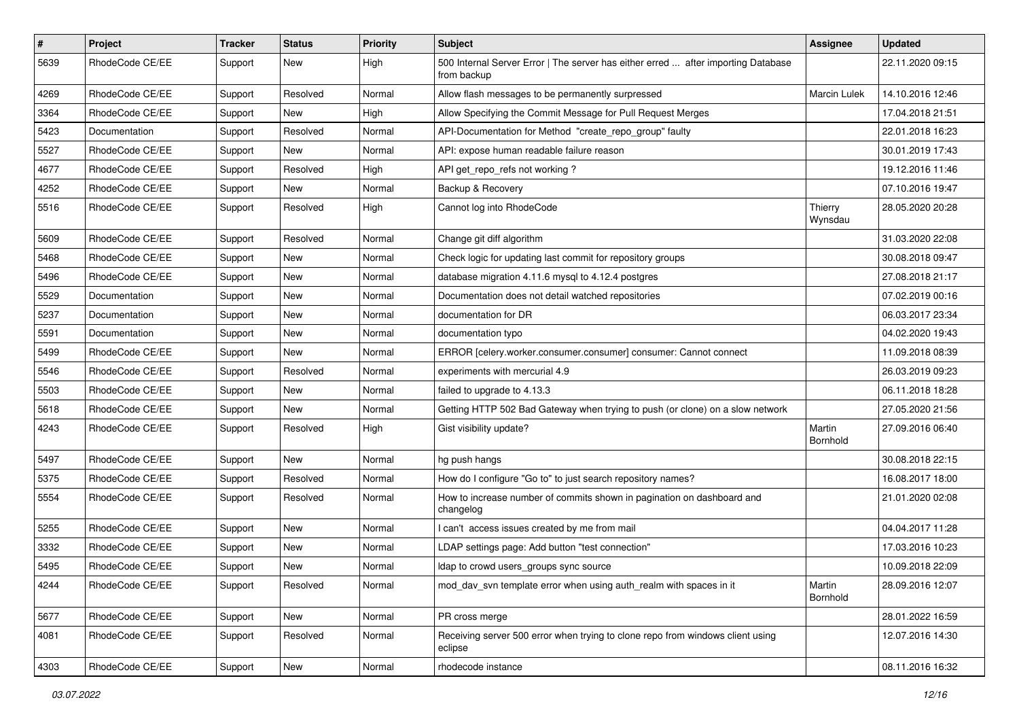| $\pmb{\#}$ | Project         | <b>Tracker</b> | <b>Status</b> | <b>Priority</b> | Subject                                                                                          | Assignee           | <b>Updated</b>   |
|------------|-----------------|----------------|---------------|-----------------|--------------------------------------------------------------------------------------------------|--------------------|------------------|
| 5639       | RhodeCode CE/EE | Support        | New           | High            | 500 Internal Server Error   The server has either erred  after importing Database<br>from backup |                    | 22.11.2020 09:15 |
| 4269       | RhodeCode CE/EE | Support        | Resolved      | Normal          | Allow flash messages to be permanently surpressed                                                | Marcin Lulek       | 14.10.2016 12:46 |
| 3364       | RhodeCode CE/EE | Support        | New           | High            | Allow Specifying the Commit Message for Pull Request Merges                                      |                    | 17.04.2018 21:51 |
| 5423       | Documentation   | Support        | Resolved      | Normal          | API-Documentation for Method "create_repo_group" faulty                                          |                    | 22.01.2018 16:23 |
| 5527       | RhodeCode CE/EE | Support        | New           | Normal          | API: expose human readable failure reason                                                        |                    | 30.01.2019 17:43 |
| 4677       | RhodeCode CE/EE | Support        | Resolved      | High            | API get_repo_refs not working?                                                                   |                    | 19.12.2016 11:46 |
| 4252       | RhodeCode CE/EE | Support        | <b>New</b>    | Normal          | Backup & Recovery                                                                                |                    | 07.10.2016 19:47 |
| 5516       | RhodeCode CE/EE | Support        | Resolved      | High            | Cannot log into RhodeCode                                                                        | Thierry<br>Wynsdau | 28.05.2020 20:28 |
| 5609       | RhodeCode CE/EE | Support        | Resolved      | Normal          | Change git diff algorithm                                                                        |                    | 31.03.2020 22:08 |
| 5468       | RhodeCode CE/EE | Support        | New           | Normal          | Check logic for updating last commit for repository groups                                       |                    | 30.08.2018 09:47 |
| 5496       | RhodeCode CE/EE | Support        | <b>New</b>    | Normal          | database migration 4.11.6 mysql to 4.12.4 postgres                                               |                    | 27.08.2018 21:17 |
| 5529       | Documentation   | Support        | New           | Normal          | Documentation does not detail watched repositories                                               |                    | 07.02.2019 00:16 |
| 5237       | Documentation   | Support        | <b>New</b>    | Normal          | documentation for DR                                                                             |                    | 06.03.2017 23:34 |
| 5591       | Documentation   | Support        | New           | Normal          | documentation typo                                                                               |                    | 04.02.2020 19:43 |
| 5499       | RhodeCode CE/EE | Support        | New           | Normal          | ERROR [celery.worker.consumer.consumer] consumer: Cannot connect                                 |                    | 11.09.2018 08:39 |
| 5546       | RhodeCode CE/EE | Support        | Resolved      | Normal          | experiments with mercurial 4.9                                                                   |                    | 26.03.2019 09:23 |
| 5503       | RhodeCode CE/EE | Support        | New           | Normal          | failed to upgrade to 4.13.3                                                                      |                    | 06.11.2018 18:28 |
| 5618       | RhodeCode CE/EE | Support        | New           | Normal          | Getting HTTP 502 Bad Gateway when trying to push (or clone) on a slow network                    |                    | 27.05.2020 21:56 |
| 4243       | RhodeCode CE/EE | Support        | Resolved      | High            | Gist visibility update?                                                                          | Martin<br>Bornhold | 27.09.2016 06:40 |
| 5497       | RhodeCode CE/EE | Support        | New           | Normal          | hg push hangs                                                                                    |                    | 30.08.2018 22:15 |
| 5375       | RhodeCode CE/EE | Support        | Resolved      | Normal          | How do I configure "Go to" to just search repository names?                                      |                    | 16.08.2017 18:00 |
| 5554       | RhodeCode CE/EE | Support        | Resolved      | Normal          | How to increase number of commits shown in pagination on dashboard and<br>changelog              |                    | 21.01.2020 02:08 |
| 5255       | RhodeCode CE/EE | Support        | New           | Normal          | I can't access issues created by me from mail                                                    |                    | 04.04.2017 11:28 |
| 3332       | RhodeCode CE/EE | Support        | New           | Normal          | LDAP settings page: Add button "test connection"                                                 |                    | 17.03.2016 10:23 |
| 5495       | RhodeCode CE/EE | Support        | New           | Normal          | Idap to crowd users_groups sync source                                                           |                    | 10.09.2018 22:09 |
| 4244       | RhodeCode CE/EE | Support        | Resolved      | Normal          | mod_dav_svn template error when using auth_realm with spaces in it                               | Martin<br>Bornhold | 28.09.2016 12:07 |
| 5677       | RhodeCode CE/EE | Support        | New           | Normal          | PR cross merge                                                                                   |                    | 28.01.2022 16:59 |
| 4081       | RhodeCode CE/EE | Support        | Resolved      | Normal          | Receiving server 500 error when trying to clone repo from windows client using<br>eclipse        |                    | 12.07.2016 14:30 |
| 4303       | RhodeCode CE/EE | Support        | New           | Normal          | rhodecode instance                                                                               |                    | 08.11.2016 16:32 |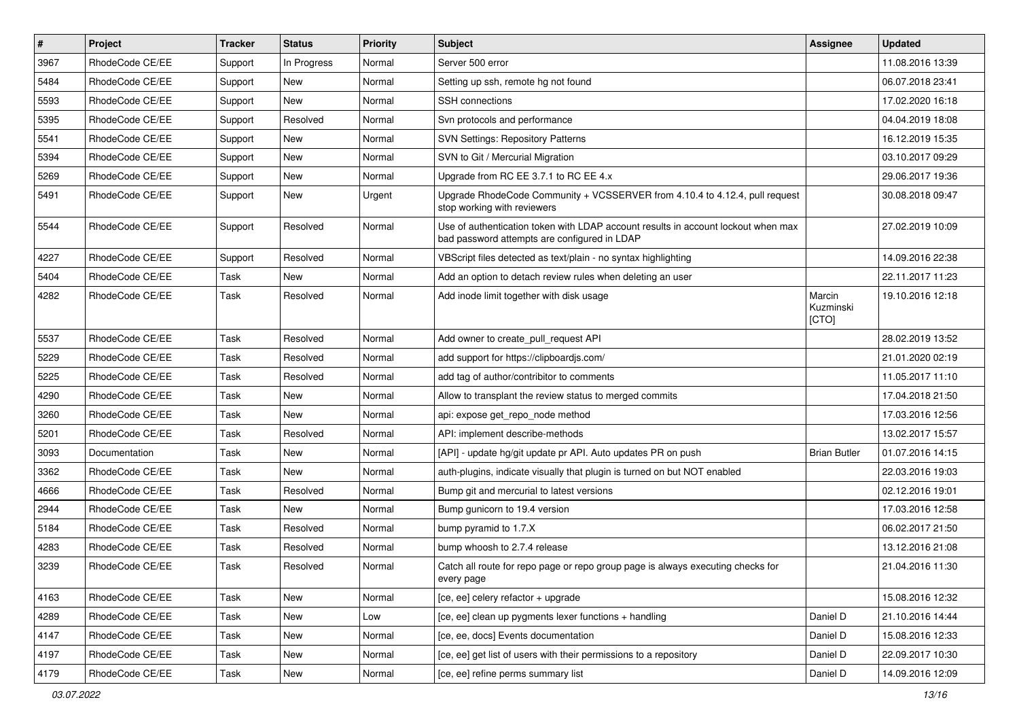| $\vert$ # | Project         | Tracker | <b>Status</b> | <b>Priority</b> | Subject                                                                                                                           | Assignee                     | <b>Updated</b>   |
|-----------|-----------------|---------|---------------|-----------------|-----------------------------------------------------------------------------------------------------------------------------------|------------------------------|------------------|
| 3967      | RhodeCode CE/EE | Support | In Progress   | Normal          | Server 500 error                                                                                                                  |                              | 11.08.2016 13:39 |
| 5484      | RhodeCode CE/EE | Support | <b>New</b>    | Normal          | Setting up ssh, remote hg not found                                                                                               |                              | 06.07.2018 23:41 |
| 5593      | RhodeCode CE/EE | Support | New           | Normal          | SSH connections                                                                                                                   |                              | 17.02.2020 16:18 |
| 5395      | RhodeCode CE/EE | Support | Resolved      | Normal          | Svn protocols and performance                                                                                                     |                              | 04.04.2019 18:08 |
| 5541      | RhodeCode CE/EE | Support | New           | Normal          | <b>SVN Settings: Repository Patterns</b>                                                                                          |                              | 16.12.2019 15:35 |
| 5394      | RhodeCode CE/EE | Support | New           | Normal          | SVN to Git / Mercurial Migration                                                                                                  |                              | 03.10.2017 09:29 |
| 5269      | RhodeCode CE/EE | Support | New           | Normal          | Upgrade from RC EE 3.7.1 to RC EE 4.x                                                                                             |                              | 29.06.2017 19:36 |
| 5491      | RhodeCode CE/EE | Support | New           | Urgent          | Upgrade RhodeCode Community + VCSSERVER from 4.10.4 to 4.12.4, pull request<br>stop working with reviewers                        |                              | 30.08.2018 09:47 |
| 5544      | RhodeCode CE/EE | Support | Resolved      | Normal          | Use of authentication token with LDAP account results in account lockout when max<br>bad password attempts are configured in LDAP |                              | 27.02.2019 10:09 |
| 4227      | RhodeCode CE/EE | Support | Resolved      | Normal          | VBScript files detected as text/plain - no syntax highlighting                                                                    |                              | 14.09.2016 22:38 |
| 5404      | RhodeCode CE/EE | Task    | <b>New</b>    | Normal          | Add an option to detach review rules when deleting an user                                                                        |                              | 22.11.2017 11:23 |
| 4282      | RhodeCode CE/EE | Task    | Resolved      | Normal          | Add inode limit together with disk usage                                                                                          | Marcin<br>Kuzminski<br>[CTO] | 19.10.2016 12:18 |
| 5537      | RhodeCode CE/EE | Task    | Resolved      | Normal          | Add owner to create pull request API                                                                                              |                              | 28.02.2019 13:52 |
| 5229      | RhodeCode CE/EE | Task    | Resolved      | Normal          | add support for https://clipboardjs.com/                                                                                          |                              | 21.01.2020 02:19 |
| 5225      | RhodeCode CE/EE | Task    | Resolved      | Normal          | add tag of author/contribitor to comments                                                                                         |                              | 11.05.2017 11:10 |
| 4290      | RhodeCode CE/EE | Task    | New           | Normal          | Allow to transplant the review status to merged commits                                                                           |                              | 17.04.2018 21:50 |
| 3260      | RhodeCode CE/EE | Task    | <b>New</b>    | Normal          | api: expose get_repo_node method                                                                                                  |                              | 17.03.2016 12:56 |
| 5201      | RhodeCode CE/EE | Task    | Resolved      | Normal          | API: implement describe-methods                                                                                                   |                              | 13.02.2017 15:57 |
| 3093      | Documentation   | Task    | New           | Normal          | [API] - update hg/git update pr API. Auto updates PR on push                                                                      | <b>Brian Butler</b>          | 01.07.2016 14:15 |
| 3362      | RhodeCode CE/EE | Task    | New           | Normal          | auth-plugins, indicate visually that plugin is turned on but NOT enabled                                                          |                              | 22.03.2016 19:03 |
| 4666      | RhodeCode CE/EE | Task    | Resolved      | Normal          | Bump git and mercurial to latest versions                                                                                         |                              | 02.12.2016 19:01 |
| 2944      | RhodeCode CE/EE | Task    | New           | Normal          | Bump gunicorn to 19.4 version                                                                                                     |                              | 17.03.2016 12:58 |
| 5184      | RhodeCode CE/EE | Task    | Resolved      | Normal          | bump pyramid to 1.7.X                                                                                                             |                              | 06.02.2017 21:50 |
| 4283      | RhodeCode CE/EE | Task    | Resolved      | Normal          | bump whoosh to 2.7.4 release                                                                                                      |                              | 13.12.2016 21:08 |
| 3239      | RhodeCode CE/EE | Task    | Resolved      | Normal          | Catch all route for repo page or repo group page is always executing checks for<br>every page                                     |                              | 21.04.2016 11:30 |
| 4163      | RhodeCode CE/EE | Task    | New           | Normal          | [ce, ee] celery refactor + upgrade                                                                                                |                              | 15.08.2016 12:32 |
| 4289      | RhodeCode CE/EE | Task    | New           | Low             | [ce, ee] clean up pygments lexer functions + handling                                                                             | Daniel D                     | 21.10.2016 14:44 |
| 4147      | RhodeCode CE/EE | Task    | New           | Normal          | [ce, ee, docs] Events documentation                                                                                               | Daniel D                     | 15.08.2016 12:33 |
| 4197      | RhodeCode CE/EE | Task    | New           | Normal          | [ce, ee] get list of users with their permissions to a repository                                                                 | Daniel D                     | 22.09.2017 10:30 |
| 4179      | RhodeCode CE/EE | Task    | New           | Normal          | [ce, ee] refine perms summary list                                                                                                | Daniel D                     | 14.09.2016 12:09 |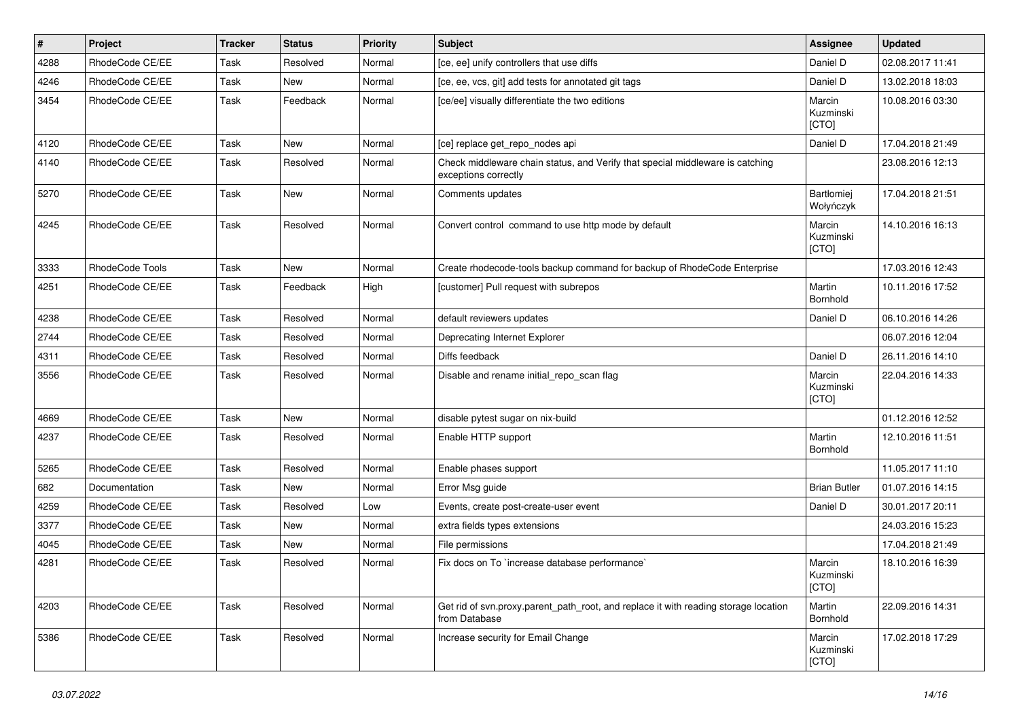| $\vert$ # | Project         | <b>Tracker</b> | <b>Status</b> | <b>Priority</b> | <b>Subject</b>                                                                                        | Assignee                     | <b>Updated</b>   |
|-----------|-----------------|----------------|---------------|-----------------|-------------------------------------------------------------------------------------------------------|------------------------------|------------------|
| 4288      | RhodeCode CE/EE | Task           | Resolved      | Normal          | [ce, ee] unify controllers that use diffs                                                             | Daniel D                     | 02.08.2017 11:41 |
| 4246      | RhodeCode CE/EE | <b>Task</b>    | New           | Normal          | [ce, ee, vcs, git] add tests for annotated git tags                                                   | Daniel D                     | 13.02.2018 18:03 |
| 3454      | RhodeCode CE/EE | Task           | Feedback      | Normal          | [ce/ee] visually differentiate the two editions                                                       | Marcin<br>Kuzminski<br>[CTO] | 10.08.2016 03:30 |
| 4120      | RhodeCode CE/EE | <b>Task</b>    | <b>New</b>    | Normal          | [ce] replace get_repo_nodes api                                                                       | Daniel D                     | 17.04.2018 21:49 |
| 4140      | RhodeCode CE/EE | Task           | Resolved      | Normal          | Check middleware chain status, and Verify that special middleware is catching<br>exceptions correctly |                              | 23.08.2016 12:13 |
| 5270      | RhodeCode CE/EE | Task           | <b>New</b>    | Normal          | Comments updates                                                                                      | Bartłomiej<br>Wołyńczyk      | 17.04.2018 21:51 |
| 4245      | RhodeCode CE/EE | Task           | Resolved      | Normal          | Convert control command to use http mode by default                                                   | Marcin<br>Kuzminski<br>[CTO] | 14.10.2016 16:13 |
| 3333      | RhodeCode Tools | Task           | New           | Normal          | Create rhodecode-tools backup command for backup of RhodeCode Enterprise                              |                              | 17.03.2016 12:43 |
| 4251      | RhodeCode CE/EE | Task           | Feedback      | High            | [customer] Pull request with subrepos                                                                 | Martin<br>Bornhold           | 10.11.2016 17:52 |
| 4238      | RhodeCode CE/EE | Task           | Resolved      | Normal          | default reviewers updates                                                                             | Daniel D                     | 06.10.2016 14:26 |
| 2744      | RhodeCode CE/EE | Task           | Resolved      | Normal          | Deprecating Internet Explorer                                                                         |                              | 06.07.2016 12:04 |
| 4311      | RhodeCode CE/EE | <b>Task</b>    | Resolved      | Normal          | Diffs feedback                                                                                        | Daniel D                     | 26.11.2016 14:10 |
| 3556      | RhodeCode CE/EE | Task           | Resolved      | Normal          | Disable and rename initial_repo_scan flag                                                             | Marcin<br>Kuzminski<br>[CTO] | 22.04.2016 14:33 |
| 4669      | RhodeCode CE/EE | <b>Task</b>    | <b>New</b>    | Normal          | disable pytest sugar on nix-build                                                                     |                              | 01.12.2016 12:52 |
| 4237      | RhodeCode CE/EE | <b>Task</b>    | Resolved      | Normal          | Enable HTTP support                                                                                   | Martin<br>Bornhold           | 12.10.2016 11:51 |
| 5265      | RhodeCode CE/EE | Task           | Resolved      | Normal          | Enable phases support                                                                                 |                              | 11.05.2017 11:10 |
| 682       | Documentation   | <b>Task</b>    | <b>New</b>    | Normal          | Error Msg guide                                                                                       | <b>Brian Butler</b>          | 01.07.2016 14:15 |
| 4259      | RhodeCode CE/EE | Task           | Resolved      | Low             | Events, create post-create-user event                                                                 | Daniel D                     | 30.01.2017 20:11 |
| 3377      | RhodeCode CE/EE | <b>Task</b>    | <b>New</b>    | Normal          | extra fields types extensions                                                                         |                              | 24.03.2016 15:23 |
| 4045      | RhodeCode CE/EE | Task           | New           | Normal          | File permissions                                                                                      |                              | 17.04.2018 21:49 |
| 4281      | RhodeCode CE/EE | <b>Task</b>    | Resolved      | Normal          | Fix docs on To `increase database performance`                                                        | Marcin<br>Kuzminski<br>[CTO] | 18.10.2016 16:39 |
| 4203      | RhodeCode CE/EE | Task           | Resolved      | Normal          | Get rid of svn.proxy.parent path root, and replace it with reading storage location<br>from Database  | Martin<br>Bornhold           | 22.09.2016 14:31 |
| 5386      | RhodeCode CE/EE | Task           | Resolved      | Normal          | Increase security for Email Change                                                                    | Marcin<br>Kuzminski<br>[CTO] | 17.02.2018 17:29 |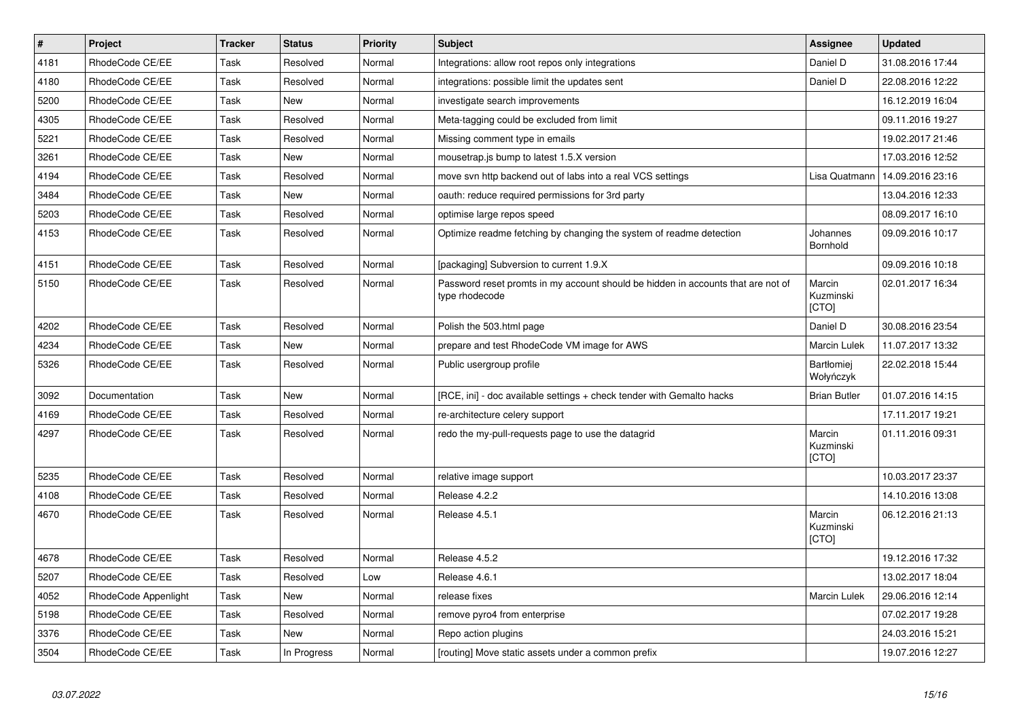| $\pmb{\#}$ | Project              | <b>Tracker</b> | <b>Status</b> | <b>Priority</b> | <b>Subject</b>                                                                                     | <b>Assignee</b>                     | <b>Updated</b>   |
|------------|----------------------|----------------|---------------|-----------------|----------------------------------------------------------------------------------------------------|-------------------------------------|------------------|
| 4181       | RhodeCode CE/EE      | Task           | Resolved      | Normal          | Integrations: allow root repos only integrations                                                   | Daniel D                            | 31.08.2016 17:44 |
| 4180       | RhodeCode CE/EE      | Task           | Resolved      | Normal          | integrations: possible limit the updates sent                                                      | Daniel D                            | 22.08.2016 12:22 |
| 5200       | RhodeCode CE/EE      | Task           | New           | Normal          | investigate search improvements                                                                    |                                     | 16.12.2019 16:04 |
| 4305       | RhodeCode CE/EE      | Task           | Resolved      | Normal          | Meta-tagging could be excluded from limit                                                          |                                     | 09.11.2016 19:27 |
| 5221       | RhodeCode CE/EE      | Task           | Resolved      | Normal          | Missing comment type in emails                                                                     |                                     | 19.02.2017 21:46 |
| 3261       | RhodeCode CE/EE      | Task           | <b>New</b>    | Normal          | mousetrap.js bump to latest 1.5.X version                                                          |                                     | 17.03.2016 12:52 |
| 4194       | RhodeCode CE/EE      | Task           | Resolved      | Normal          | move svn http backend out of labs into a real VCS settings                                         | Lisa Quatmann                       | 14.09.2016 23:16 |
| 3484       | RhodeCode CE/EE      | Task           | <b>New</b>    | Normal          | oauth: reduce required permissions for 3rd party                                                   |                                     | 13.04.2016 12:33 |
| 5203       | RhodeCode CE/EE      | Task           | Resolved      | Normal          | optimise large repos speed                                                                         |                                     | 08.09.2017 16:10 |
| 4153       | RhodeCode CE/EE      | Task           | Resolved      | Normal          | Optimize readme fetching by changing the system of readme detection                                | Johannes<br><b>Bornhold</b>         | 09.09.2016 10:17 |
| 4151       | RhodeCode CE/EE      | Task           | Resolved      | Normal          | [packaging] Subversion to current 1.9.X                                                            |                                     | 09.09.2016 10:18 |
| 5150       | RhodeCode CE/EE      | Task           | Resolved      | Normal          | Password reset promts in my account should be hidden in accounts that are not of<br>type rhodecode | Marcin<br>Kuzminski<br>[CTO]        | 02.01.2017 16:34 |
| 4202       | RhodeCode CE/EE      | Task           | Resolved      | Normal          | Polish the 503.html page                                                                           | Daniel D                            | 30.08.2016 23:54 |
| 4234       | RhodeCode CE/EE      | Task           | New           | Normal          | prepare and test RhodeCode VM image for AWS                                                        | Marcin Lulek                        | 11.07.2017 13:32 |
| 5326       | RhodeCode CE/EE      | Task           | Resolved      | Normal          | Public usergroup profile                                                                           | <b>Bartłomiei</b><br>Wołyńczyk      | 22.02.2018 15:44 |
| 3092       | Documentation        | Task           | New           | Normal          | [RCE, ini] - doc available settings + check tender with Gemalto hacks                              | <b>Brian Butler</b>                 | 01.07.2016 14:15 |
| 4169       | RhodeCode CE/EE      | Task           | Resolved      | Normal          | re-architecture celery support                                                                     |                                     | 17.11.2017 19:21 |
| 4297       | RhodeCode CE/EE      | Task           | Resolved      | Normal          | redo the my-pull-requests page to use the datagrid                                                 | Marcin<br>Kuzminski<br><b>ICTOI</b> | 01.11.2016 09:31 |
| 5235       | RhodeCode CE/EE      | Task           | Resolved      | Normal          | relative image support                                                                             |                                     | 10.03.2017 23:37 |
| 4108       | RhodeCode CE/EE      | Task           | Resolved      | Normal          | Release 4.2.2                                                                                      |                                     | 14.10.2016 13:08 |
| 4670       | RhodeCode CE/EE      | Task           | Resolved      | Normal          | Release 4.5.1                                                                                      | Marcin<br>Kuzminski<br>[CTO]        | 06.12.2016 21:13 |
| 4678       | RhodeCode CE/EE      | Task           | Resolved      | Normal          | Release 4.5.2                                                                                      |                                     | 19.12.2016 17:32 |
| 5207       | RhodeCode CE/EE      | Task           | Resolved      | Low             | Release 4.6.1                                                                                      |                                     | 13.02.2017 18:04 |
| 4052       | RhodeCode Appenlight | Task           | New           | Normal          | release fixes                                                                                      | Marcin Lulek                        | 29.06.2016 12:14 |
| 5198       | RhodeCode CE/EE      | Task           | Resolved      | Normal          | remove pyro4 from enterprise                                                                       |                                     | 07.02.2017 19:28 |
| 3376       | RhodeCode CE/EE      | Task           | New           | Normal          | Repo action plugins                                                                                |                                     | 24.03.2016 15:21 |
| 3504       | RhodeCode CE/EE      | Task           | In Progress   | Normal          | [routing] Move static assets under a common prefix                                                 |                                     | 19.07.2016 12:27 |